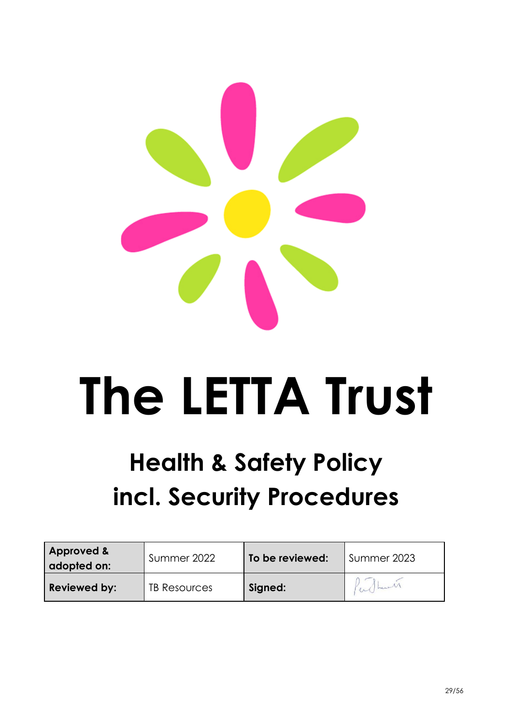

# **The LETTA Trust**

# **Health & Safety Policy incl. Security Procedures**

| <b>Approved &amp;</b><br>adopted on: | Summer 2022  | To be reviewed: | Summer 2023 |
|--------------------------------------|--------------|-----------------|-------------|
| Reviewed by:                         | TB Resources | Signed:         | en hand     |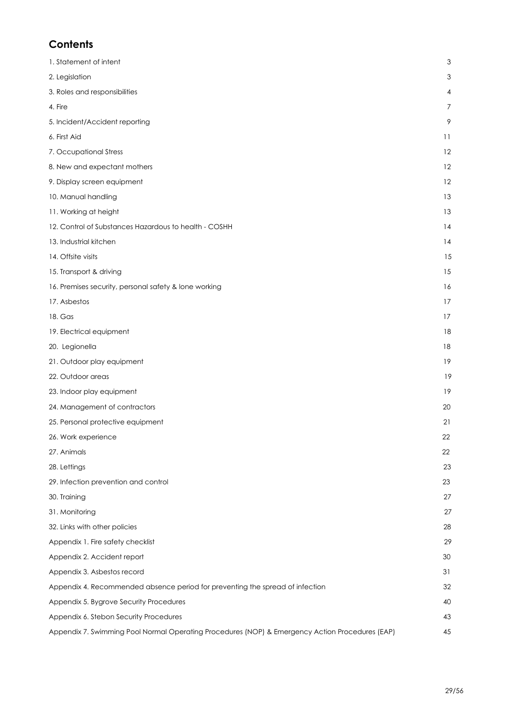#### **Contents**

| 1. Statement of intent                                                                          | $\mathsf 3$     |
|-------------------------------------------------------------------------------------------------|-----------------|
| 2. Legislation                                                                                  | 3               |
| 3. Roles and responsibilities                                                                   | 4               |
| 4. Fire                                                                                         | $\overline{7}$  |
| 5. Incident/Accident reporting                                                                  | 9               |
| 6. First Aid                                                                                    | $\overline{11}$ |
| 7. Occupational Stress                                                                          | 12              |
| 8. New and expectant mothers                                                                    | 12              |
| 9. Display screen equipment                                                                     | 12              |
| 10. Manual handling                                                                             | 13              |
| 11. Working at height                                                                           | 13              |
| 12. Control of Substances Hazardous to health - COSHH                                           | 14              |
| 13. Industrial kitchen                                                                          | 14              |
| 14. Offsite visits                                                                              | 15              |
| 15. Transport & driving                                                                         | 15              |
| 16. Premises security, personal safety & lone working                                           | 16              |
| 17. Asbestos                                                                                    | 17              |
| 18. Gas                                                                                         | 17              |
| 19. Electrical equipment                                                                        | 18              |
| 20. Legionella                                                                                  | 18              |
| 21. Outdoor play equipment                                                                      | 19              |
| 22. Outdoor areas                                                                               | 19              |
| 23. Indoor play equipment                                                                       | 19              |
| 24. Management of contractors                                                                   | 20              |
| 25. Personal protective equipment                                                               | 21              |
| 26. Work experience                                                                             | 22              |
| 27. Animals                                                                                     | 22              |
| 28. Lettings                                                                                    | 23              |
| 29. Infection prevention and control                                                            | 23              |
| 30. Training                                                                                    | 27              |
| 31. Monitoring                                                                                  | 27              |
| 32. Links with other policies                                                                   | 28              |
| Appendix 1. Fire safety checklist                                                               | 29              |
| Appendix 2. Accident report                                                                     | 30              |
| Appendix 3. Asbestos record                                                                     | 31              |
| Appendix 4. Recommended absence period for preventing the spread of infection                   | 32              |
| Appendix 5. Bygrove Security Procedures                                                         | 40              |
| Appendix 6. Stebon Security Procedures                                                          | 43              |
| Appendix 7. Swimming Pool Normal Operating Procedures (NOP) & Emergency Action Procedures (EAP) | 45              |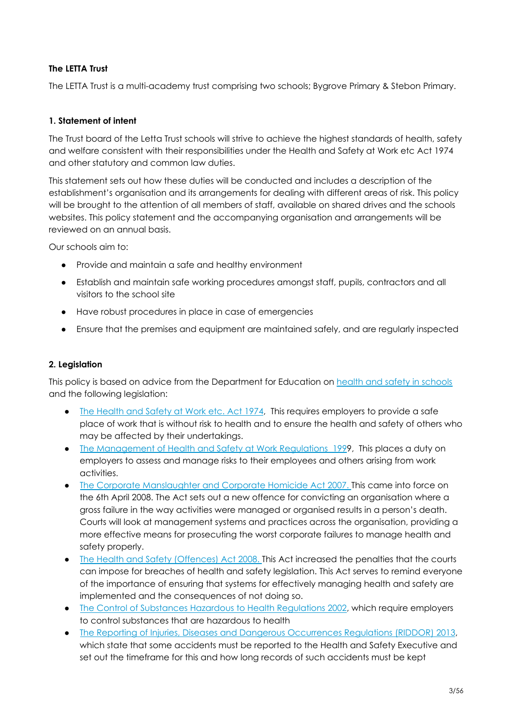#### **The LETTA Trust**

The LETTA Trust is a multi-academy trust comprising two schools; Bygrove Primary & Stebon Primary.

#### **1. Statement of intent**

The Trust board of the Letta Trust schools will strive to achieve the highest standards of health, safety and welfare consistent with their responsibilities under the Health and Safety at Work etc Act 1974 and other statutory and common law duties.

This statement sets out how these duties will be conducted and includes a description of the establishment's organisation and its arrangements for dealing with different areas of risk. This policy will be brought to the attention of all members of staff, available on shared drives and the schools websites. This policy statement and the accompanying organisation and arrangements will be reviewed on an annual basis.

Our schools aim to:

- Provide and maintain a safe and healthy environment
- Establish and maintain safe working procedures amongst staff, pupils, contractors and all visitors to the school site
- Have robust procedures in place in case of emergencies
- Ensure that the premises and equipment are maintained safely, and are regularly inspected

#### <span id="page-2-0"></span>**2. Legislation**

This policy is based on advice from the Department for Education on health and safety in [schools](https://www.gov.uk/government/publications/health-and-safety-advice-for-schools) and the following legislation:

- The [Health](http://www.legislation.gov.uk/ukpga/1974/37) and Safety at Work etc. Act 1974, This requires employers to provide a safe place of work that is without risk to health and to ensure the health and safety of others who may be affected by their undertakings.
- The [Management](http://www.legislation.gov.uk/uksi/1992/2051/regulation/3/made) of Health and Safety at Work Regulations 1999, This places a duty on employers to assess and manage risks to their employees and others arising from work activities.
- The Corporate Manslaughter and Corporate Homicide Act 2007. This came into force on the 6th April 2008. The Act sets out a new offence for convicting an organisation where a gross failure in the way activities were managed or organised results in a person's death. Courts will look at management systems and practices across the organisation, providing a more effective means for prosecuting the worst corporate failures to manage health and safety properly.
- The Health and Safety (Offences) Act 2008. This Act increased the penalties that the courts can impose for breaches of health and safety legislation. This Act serves to remind everyone of the importance of ensuring that systems for effectively managing health and safety are implemented and the consequences of not doing so.
- The Control of Substances Hazardous to Health [Regulations](http://www.legislation.gov.uk/uksi/2002/2677/contents/made) 2002, which require employers to control substances that are hazardous to health
- The Reporting of Injuries, Diseases and Dangerous [Occurrences](http://www.legislation.gov.uk/uksi/2013/1471/schedule/1/paragraph/1/made) Regulations (RIDDOR) 2013, which state that some accidents must be reported to the Health and Safety Executive and set out the timeframe for this and how long records of such accidents must be kept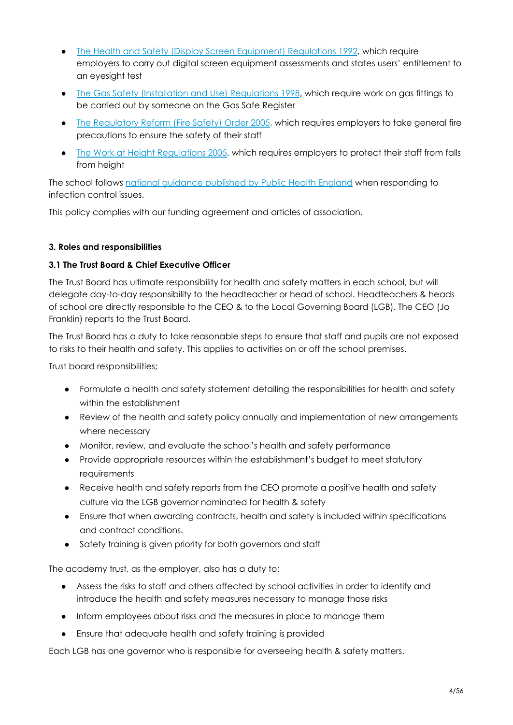- The Health and Safety (Display Screen [Equipment\)](http://www.legislation.gov.uk/uksi/1992/2792/contents/made) Regulations 1992, which require employers to carry out digital screen equipment assessments and states users' entitlement to an eyesight test
- The Gas Safety (Installation and Use) [Regulations](http://www.legislation.gov.uk/uksi/1998/2451/regulation/4/made) 1998, which require work on gas fittings to be carried out by someone on the Gas Safe Register
- The [Regulatory](http://www.legislation.gov.uk/uksi/2005/1541/part/2/made) Reform (Fire Safety) Order 2005, which requires employers to take general fire precautions to ensure the safety of their staff
- The Work at Height [Regulations](http://www.legislation.gov.uk/uksi/2005/735/contents/made) 2005, which requires employers to protect their staff from falls from height

The school follows national [guidance](https://www.gov.uk/government/uploads/system/uploads/attachment_data/file/522337/Guidance_on_infection_control_in_schools.pdf) published by Public Health England when responding to infection control issues.

This policy complies with our funding agreement and articles of association.

#### **3. Roles and responsibilities**

#### **3.1 The Trust Board & Chief Executive Officer**

The Trust Board has ultimate responsibility for health and safety matters in each school, but will delegate day-to-day responsibility to the headteacher or head of school. Headteachers & heads of school are directly responsible to the CEO & to the Local Governing Board (LGB). The CEO (Jo Franklin) reports to the Trust Board.

The Trust Board has a duty to take reasonable steps to ensure that staff and pupils are not exposed to risks to their health and safety. This applies to activities on or off the school premises.

Trust board responsibilities;

- Formulate a health and safety statement detailing the responsibilities for health and safety within the establishment
- Review of the health and safety policy annually and implementation of new arrangements where necessary
- Monitor, review, and evaluate the school's health and safety performance
- Provide appropriate resources within the establishment's budget to meet statutory requirements
- Receive health and safety reports from the CEO promote a positive health and safety culture via the LGB governor nominated for health & safety
- Ensure that when awarding contracts, health and safety is included within specifications and contract conditions.
- Safety training is given priority for both governors and staff

The academy trust, as the employer, also has a duty to:

- Assess the risks to staff and others affected by school activities in order to identify and introduce the health and safety measures necessary to manage those risks
- Inform employees about risks and the measures in place to manage them
- Ensure that adequate health and safety training is provided

Each LGB has one governor who is responsible for overseeing health & safety matters.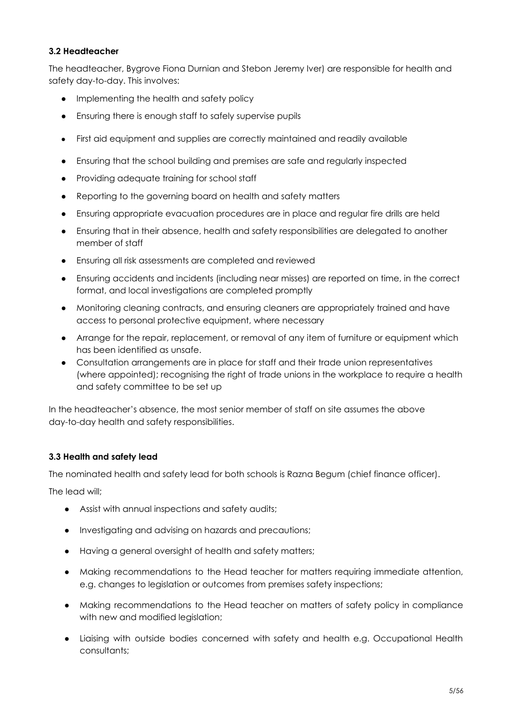#### **3.2 Headteacher**

The headteacher, Bygrove Fiona Durnian and Stebon Jeremy Iver) are responsible for health and safety day-to-day. This involves:

- Implementing the health and safety policy
- Ensuring there is enough staff to safely supervise pupils
- First aid equipment and supplies are correctly maintained and readily available
- Ensuring that the school building and premises are safe and regularly inspected
- Providing adequate training for school staff
- Reporting to the governing board on health and safety matters
- Ensuring appropriate evacuation procedures are in place and regular fire drills are held
- Ensuring that in their absence, health and safety responsibilities are delegated to another member of staff
- Ensuring all risk assessments are completed and reviewed
- Ensuring accidents and incidents (including near misses) are reported on time, in the correct format, and local investigations are completed promptly
- Monitoring cleaning contracts, and ensuring cleaners are appropriately trained and have access to personal protective equipment, where necessary
- Arrange for the repair, replacement, or removal of any item of furniture or equipment which has been identified as unsafe.
- Consultation arrangements are in place for staff and their trade union representatives (where appointed); recognising the right of trade unions in the workplace to require a health and safety committee to be set up

In the headteacher's absence, the most senior member of staff on site assumes the above day-to-day health and safety responsibilities.

#### **3.3 Health and safety lead**

The nominated health and safety lead for both schools is Razna Begum (chief finance officer).

The lead will;

- Assist with annual inspections and safety audits;
- Investigating and advising on hazards and precautions;
- Having a general oversight of health and safety matters;
- Making recommendations to the Head teacher for matters requiring immediate attention, e.g. changes to legislation or outcomes from premises safety inspections;
- Making recommendations to the Head teacher on matters of safety policy in compliance with new and modified legislation;
- Liaising with outside bodies concerned with safety and health e.g. Occupational Health consultants;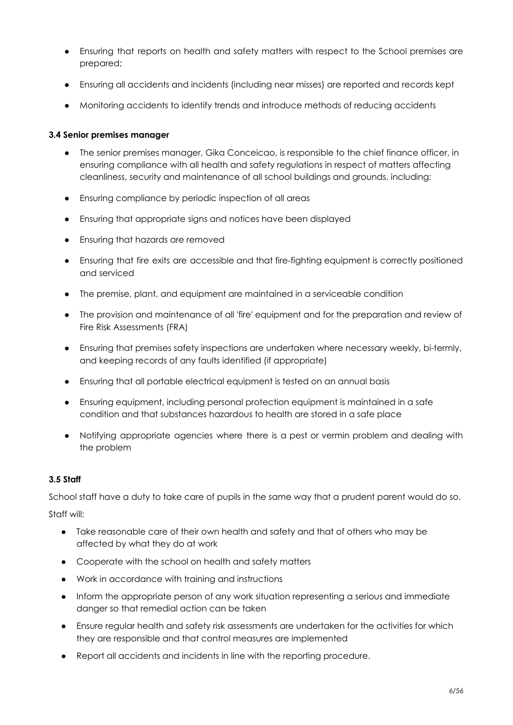- Ensuring that reports on health and safety matters with respect to the School premises are prepared;
- Ensuring all accidents and incidents (including near misses) are reported and records kept
- Monitoring accidents to identify trends and introduce methods of reducing accidents

#### **3.4 Senior premises manager**

- The senior premises manager, Gika Conceicao, is responsible to the chief finance officer, in ensuring compliance with all health and safety regulations in respect of matters affecting cleanliness, security and maintenance of all school buildings and grounds, including:
- Ensuring compliance by periodic inspection of all areas
- Ensuring that appropriate signs and notices have been displayed
- Ensuring that hazards are removed
- Ensuring that fire exits are accessible and that fire-fighting equipment is correctly positioned and serviced
- The premise, plant, and equipment are maintained in a serviceable condition
- The provision and maintenance of all 'fire' equipment and for the preparation and review of Fire Risk Assessments (FRA)
- Ensuring that premises safety inspections are undertaken where necessary weekly, bi-termly, and keeping records of any faults identified (if appropriate)
- Ensuring that all portable electrical equipment is tested on an annual basis
- Ensuring equipment, including personal protection equipment is maintained in a safe condition and that substances hazardous to health are stored in a safe place
- Notifying appropriate agencies where there is a pest or vermin problem and dealing with the problem

#### **3.5 Staff**

School staff have a duty to take care of pupils in the same way that a prudent parent would do so.

Staff will:

- Take reasonable care of their own health and safety and that of others who may be affected by what they do at work
- Cooperate with the school on health and safety matters
- Work in accordance with training and instructions
- Inform the appropriate person of any work situation representing a serious and immediate danger so that remedial action can be taken
- Ensure regular health and safety risk assessments are undertaken for the activities for which they are responsible and that control measures are implemented
- Report all accidents and incidents in line with the reporting procedure.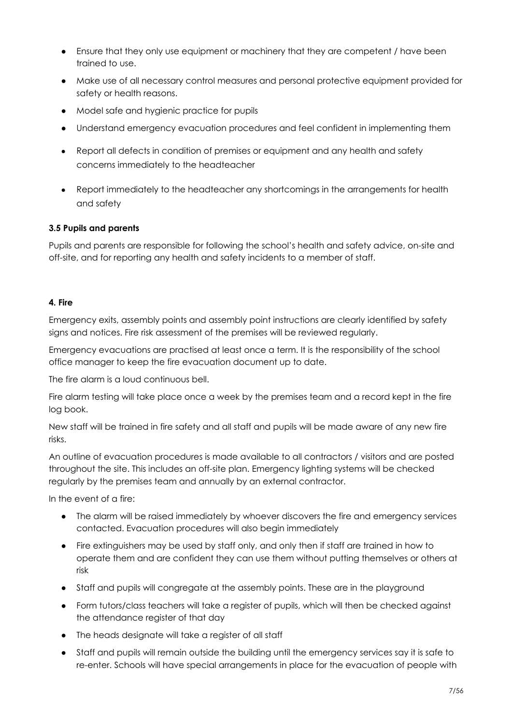- Ensure that they only use equipment or machinery that they are competent / have been trained to use.
- Make use of all necessary control measures and personal protective equipment provided for safety or health reasons.
- Model safe and hygienic practice for pupils
- Understand emergency evacuation procedures and feel confident in implementing them
- Report all defects in condition of premises or equipment and any health and safety concerns immediately to the headteacher
- Report immediately to the headteacher any shortcomings in the arrangements for health and safety

#### **3.5 Pupils and parents**

Pupils and parents are responsible for following the school's health and safety advice, on-site and off-site, and for reporting any health and safety incidents to a member of staff.

#### **4. Fire**

Emergency exits, assembly points and assembly point instructions are clearly identified by safety signs and notices. Fire risk assessment of the premises will be reviewed regularly.

Emergency evacuations are practised at least once a term. It is the responsibility of the school office manager to keep the fire evacuation document up to date.

The fire alarm is a loud continuous bell.

Fire alarm testing will take place once a week by the premises team and a record kept in the fire log book.

New staff will be trained in fire safety and all staff and pupils will be made aware of any new fire risks.

An outline of evacuation procedures is made available to all contractors / visitors and are posted throughout the site. This includes an off-site plan. Emergency lighting systems will be checked regularly by the premises team and annually by an external contractor.

In the event of a fire:

- The alarm will be raised immediately by whoever discovers the fire and emergency services contacted. Evacuation procedures will also begin immediately
- Fire extinguishers may be used by staff only, and only then if staff are trained in how to operate them and are confident they can use them without putting themselves or others at risk
- Staff and pupils will congregate at the assembly points. These are in the playground
- Form tutors/class teachers will take a register of pupils, which will then be checked against the attendance register of that day
- The heads designate will take a register of all staff
- Staff and pupils will remain outside the building until the emergency services say it is safe to re-enter. Schools will have special arrangements in place for the evacuation of people with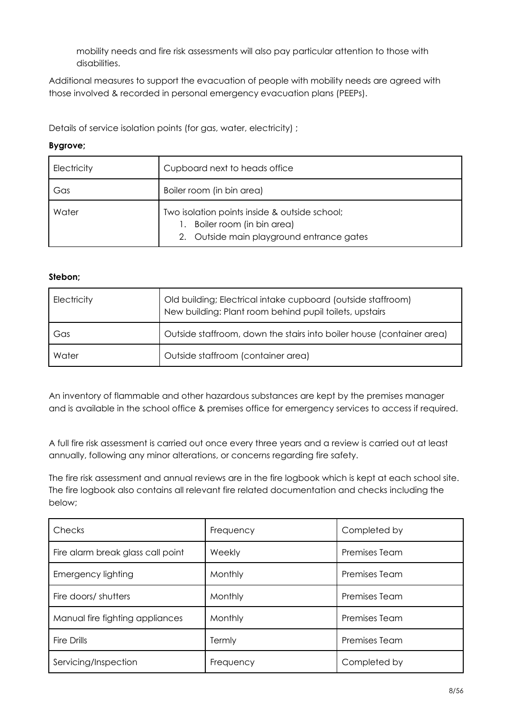mobility needs and fire risk assessments will also pay particular attention to those with disabilities.

Additional measures to support the evacuation of people with mobility needs are agreed with those involved & recorded in personal emergency evacuation plans (PEEPs).

Details of service isolation points (for gas, water, electricity) ;

#### **Bygrove;**

| Electricity | Cupboard next to heads office                                                                                           |  |
|-------------|-------------------------------------------------------------------------------------------------------------------------|--|
| Gas         | Boiler room (in bin area)                                                                                               |  |
| Water       | Two isolation points inside & outside school;<br>Boiler room (in bin area)<br>2. Outside main playground entrance gates |  |

#### **Stebon;**

| Electricity | Old building; Electrical intake cupboard (outside staffroom)<br>New building: Plant room behind pupil toilets, upstairs |
|-------------|-------------------------------------------------------------------------------------------------------------------------|
| Gas         | Outside staffroom, down the stairs into boiler house (container area)                                                   |
| Water       | Outside staffroom (container area)                                                                                      |

An inventory of flammable and other hazardous substances are kept by the premises manager and is available in the school office & premises office for emergency services to access if required.

A full fire risk assessment is carried out once every three years and a review is carried out at least annually, following any minor alterations, or concerns regarding fire safety.

The fire risk assessment and annual reviews are in the fire logbook which is kept at each school site. The fire logbook also contains all relevant fire related documentation and checks including the below;

| Checks                            | Frequency | Completed by         |
|-----------------------------------|-----------|----------------------|
| Fire alarm break glass call point | Weekly    | <b>Premises Team</b> |
| <b>Emergency lighting</b>         | Monthly   | Premises Team        |
| Fire doors/ shutters              | Monthly   | <b>Premises Team</b> |
| Manual fire fighting appliances   | Monthly   | <b>Premises Team</b> |
| Fire Drills                       | Termly    | <b>Premises Team</b> |
| Servicing/Inspection              | Frequency | Completed by         |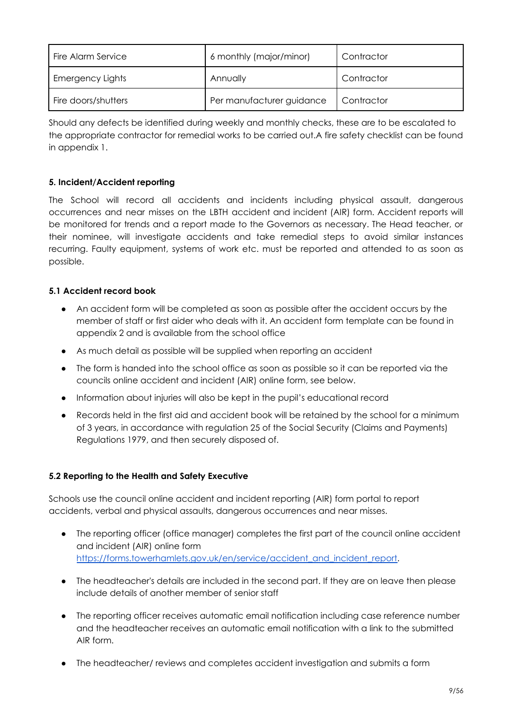| Fire Alarm Service      | 6 monthly (major/minor)   | Contractor |
|-------------------------|---------------------------|------------|
| <b>Emergency Lights</b> | Annually                  | Contractor |
| Fire doors/shutters     | Per manufacturer guidance | Contractor |

Should any defects be identified during weekly and monthly checks, these are to be escalated to the appropriate contractor for remedial works to be carried out.A fire safety checklist can be found in appendix 1.

#### **5. Incident/Accident reporting**

The School will record all accidents and incidents including physical assault, dangerous occurrences and near misses on the LBTH accident and incident (AIR) form. Accident reports will be monitored for trends and a report made to the Governors as necessary. The Head teacher, or their nominee, will investigate accidents and take remedial steps to avoid similar instances recurring. Faulty equipment, systems of work etc. must be reported and attended to as soon as possible.

#### **5.1 Accident record book**

- An accident form will be completed as soon as possible after the accident occurs by the member of staff or first aider who deals with it. An accident form template can be found in appendix 2 and is available from the school office
- As much detail as possible will be supplied when reporting an accident
- The form is handed into the school office as soon as possible so it can be reported via the councils online accident and incident (AIR) online form, see below.
- Information about injuries will also be kept in the pupil's educational record
- Records held in the first aid and accident book will be retained by the school for a minimum of 3 years, in accordance with regulation 25 of the Social Security (Claims and Payments) Regulations 1979, and then securely disposed of.

#### **5.2 Reporting to the Health and Safety Executive**

Schools use the council online accident and incident reporting (AIR) form portal to report accidents, verbal and physical assaults, dangerous occurrences and near misses.

- The reporting officer (office manager) completes the first part of the council online accident and incident (AIR) online form [https://forms.towerhamlets.gov.uk/en/service/accident\\_and\\_incident\\_report.](https://forms.towerhamlets.gov.uk/en/service/accident_and_incident_report)
- The headteacher's details are included in the second part. If they are on leave then please include details of another member of senior staff
- The reporting officer receives automatic email notification including case reference number and the headteacher receives an automatic email notification with a link to the submitted AIR form.
- The headteacher/ reviews and completes accident investigation and submits a form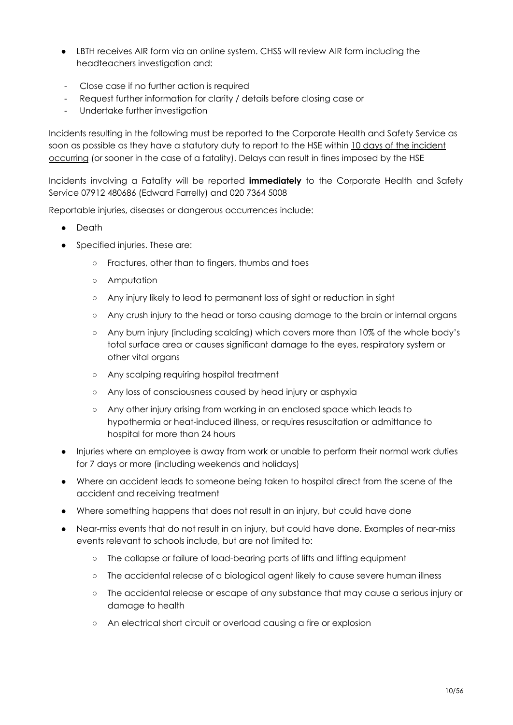- LBTH receives AIR form via an online system. CHSS will review AIR form including the headteachers investigation and:
- Close case if no further action is required
- Request further information for clarity / details before closing case or
- Undertake further investigation

Incidents resulting in the following must be reported to the Corporate Health and Safety Service as soon as possible as they have a statutory duty to report to the HSE within 10 days of the incident occurring (or sooner in the case of a fatality). Delays can result in fines imposed by the HSE

Incidents involving a Fatality will be reported **immediately** to the Corporate Health and Safety Service 07912 480686 (Edward Farrelly) and 020 7364 5008

Reportable injuries, diseases or dangerous occurrences include:

- **Death**
- Specified injuries. These are:
	- Fractures, other than to fingers, thumbs and toes
	- Amputation
	- Any injury likely to lead to permanent loss of sight or reduction in sight
	- Any crush injury to the head or torso causing damage to the brain or internal organs
	- Any burn injury (including scalding) which covers more than 10% of the whole body's total surface area or causes significant damage to the eyes, respiratory system or other vital organs
	- Any scalping requiring hospital treatment
	- Any loss of consciousness caused by head injury or asphyxia
	- Any other injury arising from working in an enclosed space which leads to hypothermia or heat-induced illness, or requires resuscitation or admittance to hospital for more than 24 hours
- Injuries where an employee is away from work or unable to perform their normal work duties for 7 days or more (including weekends and holidays)
- Where an accident leads to someone being taken to hospital direct from the scene of the accident and receiving treatment
- Where something happens that does not result in an injury, but could have done
- Near-miss events that do not result in an injury, but could have done. Examples of near-miss events relevant to schools include, but are not limited to:
	- The collapse or failure of load-bearing parts of lifts and lifting equipment
	- The accidental release of a biological agent likely to cause severe human illness
	- The accidental release or escape of any substance that may cause a serious injury or damage to health
	- An electrical short circuit or overload causing a fire or explosion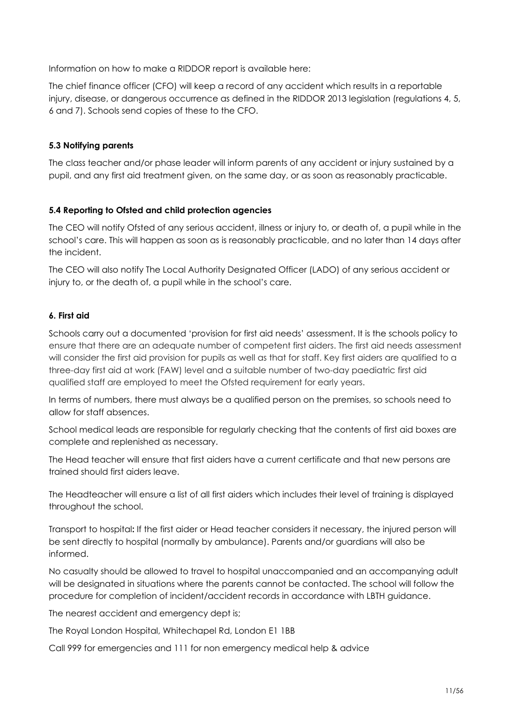Information on how to make a RIDDOR report is available here:

The chief finance officer (CFO) will keep a record of any accident which results in a reportable injury, disease, or dangerous occurrence as defined in the RIDDOR 2013 legislation (regulations 4, 5, 6 and 7). Schools send copies of these to the CFO.

#### **5.3 Notifying parents**

The class teacher and/or phase leader will inform parents of any accident or injury sustained by a pupil, and any first aid treatment given, on the same day, or as soon as reasonably practicable.

#### **5.4 Reporting to Ofsted and child protection agencies**

The CEO will notify Ofsted of any serious accident, illness or injury to, or death of, a pupil while in the school's care. This will happen as soon as is reasonably practicable, and no later than 14 days after the incident.

The CEO will also notify The Local Authority Designated Officer (LADO) of any serious accident or injury to, or the death of, a pupil while in the school's care.

#### **6. First aid**

Schools carry out a documented 'provision for first aid needs' assessment. It is the schools policy to ensure that there are an adequate number of competent first aiders. The first aid needs assessment will consider the first aid provision for pupils as well as that for staff. Key first aiders are qualified to a three-day first aid at work (FAW) level and a suitable number of two-day paediatric first aid qualified staff are employed to meet the Ofsted requirement for early years.

In terms of numbers, there must always be a qualified person on the premises, so schools need to allow for staff absences.

School medical leads are responsible for regularly checking that the contents of first aid boxes are complete and replenished as necessary.

The Head teacher will ensure that first aiders have a current certificate and that new persons are trained should first aiders leave.

The Headteacher will ensure a list of all first aiders which includes their level of training is displayed throughout the school.

Transport to hospital**:** If the first aider or Head teacher considers it necessary, the injured person will be sent directly to hospital (normally by ambulance). Parents and/or guardians will also be informed.

No casualty should be allowed to travel to hospital unaccompanied and an accompanying adult will be designated in situations where the parents cannot be contacted. The school will follow the procedure for completion of incident/accident records in accordance with LBTH guidance.

The nearest accident and emergency dept is;

The Royal London Hospital, Whitechapel Rd, London E1 1BB

Call 999 for emergencies and 111 for non emergency medical help & advice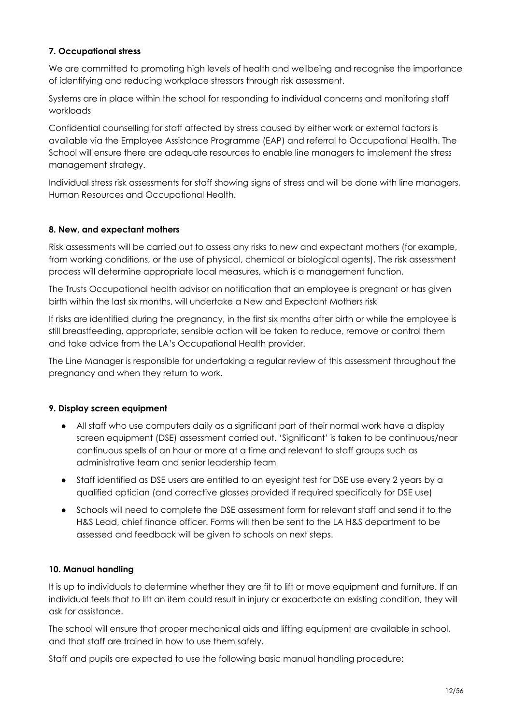#### **7. Occupational stress**

We are committed to promoting high levels of health and wellbeing and recognise the importance of identifying and reducing workplace stressors through risk assessment.

Systems are in place within the school for responding to individual concerns and monitoring staff workloads

Confidential counselling for staff affected by stress caused by either work or external factors is available via the Employee Assistance Programme (EAP) and referral to Occupational Health. The School will ensure there are adequate resources to enable line managers to implement the stress management strategy.

Individual stress risk assessments for staff showing signs of stress and will be done with line managers, Human Resources and Occupational Health.

#### **8. New, and expectant mothers**

Risk assessments will be carried out to assess any risks to new and expectant mothers (for example, from working conditions, or the use of physical, chemical or biological agents). The risk assessment process will determine appropriate local measures, which is a management function.

The Trusts Occupational health advisor on notification that an employee is pregnant or has given birth within the last six months, will undertake a New and Expectant Mothers risk

If risks are identified during the pregnancy, in the first six months after birth or while the employee is still breastfeeding, appropriate, sensible action will be taken to reduce, remove or control them and take advice from the LA's Occupational Health provider.

The Line Manager is responsible for undertaking a regular review of this assessment throughout the pregnancy and when they return to work.

#### **9. Display screen equipment**

- All staff who use computers daily as a significant part of their normal work have a display screen equipment (DSE) assessment carried out. 'Significant' is taken to be continuous/near continuous spells of an hour or more at a time and relevant to staff groups such as administrative team and senior leadership team
- Staff identified as DSE users are entitled to an eyesight test for DSE use every 2 years by a qualified optician (and corrective glasses provided if required specifically for DSE use)
- Schools will need to complete the DSE assessment form for relevant staff and send it to the H&S Lead, chief finance officer. Forms will then be sent to the LA H&S department to be assessed and feedback will be given to schools on next steps.

#### **10. Manual handling**

It is up to individuals to determine whether they are fit to lift or move equipment and furniture. If an individual feels that to lift an item could result in injury or exacerbate an existing condition, they will ask for assistance.

The school will ensure that proper mechanical aids and lifting equipment are available in school, and that staff are trained in how to use them safely.

Staff and pupils are expected to use the following basic manual handling procedure: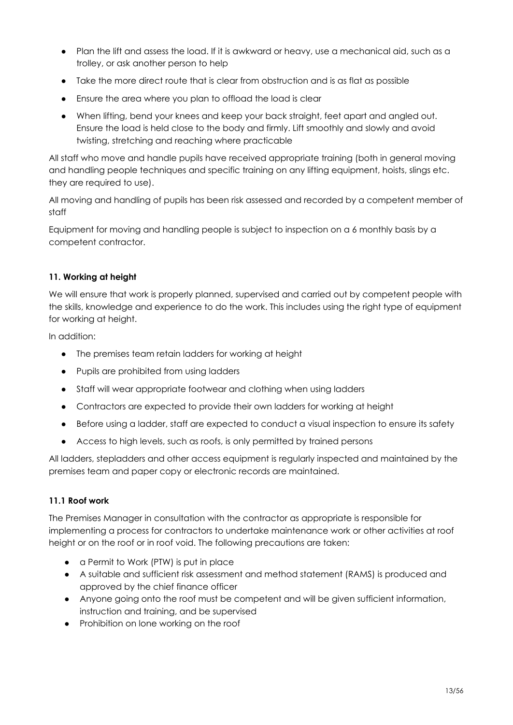- Plan the lift and assess the load. If it is awkward or heavy, use a mechanical aid, such as a trolley, or ask another person to help
- Take the more direct route that is clear from obstruction and is as flat as possible
- Ensure the area where you plan to offload the load is clear
- When lifting, bend your knees and keep your back straight, feet apart and angled out. Ensure the load is held close to the body and firmly. Lift smoothly and slowly and avoid twisting, stretching and reaching where practicable

All staff who move and handle pupils have received appropriate training (both in general moving and handling people techniques and specific training on any lifting equipment, hoists, slings etc. they are required to use).

All moving and handling of pupils has been risk assessed and recorded by a competent member of staff

Equipment for moving and handling people is subject to inspection on a 6 monthly basis by a competent contractor.

#### **11. Working at height**

We will ensure that work is properly planned, supervised and carried out by competent people with the skills, knowledge and experience to do the work. This includes using the right type of equipment for working at height.

In addition:

- The premises team retain ladders for working at height
- Pupils are prohibited from using ladders
- Staff will wear appropriate footwear and clothing when using ladders
- Contractors are expected to provide their own ladders for working at height
- Before using a ladder, staff are expected to conduct a visual inspection to ensure its safety
- Access to high levels, such as roofs, is only permitted by trained persons

All ladders, stepladders and other access equipment is regularly inspected and maintained by the premises team and paper copy or electronic records are maintained.

#### **11.1 Roof work**

The Premises Manager in consultation with the contractor as appropriate is responsible for implementing a process for contractors to undertake maintenance work or other activities at roof height or on the roof or in roof void. The following precautions are taken:

- a Permit to Work (PTW) is put in place
- A suitable and sufficient risk assessment and method statement (RAMS) is produced and approved by the chief finance officer
- Anyone going onto the roof must be competent and will be given sufficient information, instruction and training, and be supervised
- Prohibition on lone working on the roof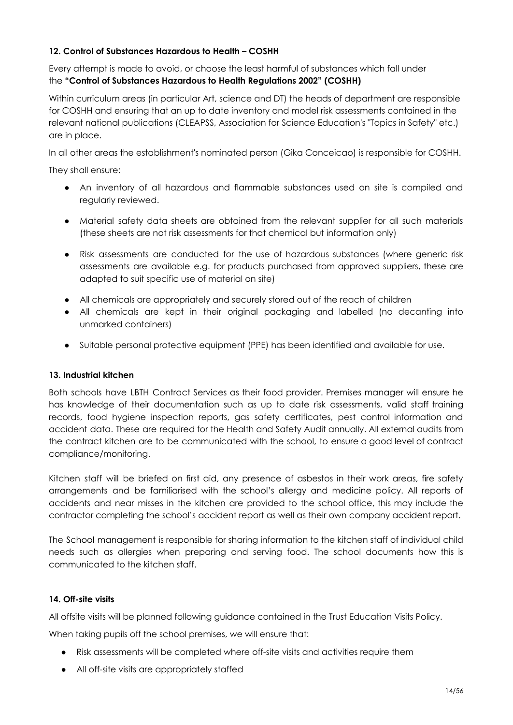#### **12. Control of Substances Hazardous to Health – COSHH**

Every attempt is made to avoid, or choose the least harmful of substances which fall under the **"Control of Substances Hazardous to Health Regulations 2002" (COSHH)**

Within curriculum areas (in particular Art, science and DT) the heads of department are responsible for COSHH and ensuring that an up to date inventory and model risk assessments contained in the relevant national publications (CLEAPSS, Association for Science Education's "Topics in Safety" etc.) are in place.

In all other areas the establishment's nominated person (Gika Conceicao) is responsible for COSHH.

They shall ensure:

- An inventory of all hazardous and flammable substances used on site is compiled and regularly reviewed.
- Material safety data sheets are obtained from the relevant supplier for all such materials (these sheets are not risk assessments for that chemical but information only)
- Risk assessments are conducted for the use of hazardous substances (where generic risk assessments are available e.g. for products purchased from approved suppliers, these are adapted to suit specific use of material on site)
- All chemicals are appropriately and securely stored out of the reach of children
- All chemicals are kept in their original packaging and labelled (no decanting into unmarked containers)
- Suitable personal protective equipment (PPE) has been identified and available for use.

#### **13. Industrial kitchen**

Both schools have LBTH Contract Services as their food provider. Premises manager will ensure he has knowledge of their documentation such as up to date risk assessments, valid staff training records, food hygiene inspection reports, gas safety certificates, pest control information and accident data. These are required for the Health and Safety Audit annually. All external audits from the contract kitchen are to be communicated with the school, to ensure a good level of contract compliance/monitoring.

Kitchen staff will be briefed on first aid, any presence of asbestos in their work areas, fire safety arrangements and be familiarised with the school's allergy and medicine policy. All reports of accidents and near misses in the kitchen are provided to the school office, this may include the contractor completing the school's accident report as well as their own company accident report.

The School management is responsible for sharing information to the kitchen staff of individual child needs such as allergies when preparing and serving food. The school documents how this is communicated to the kitchen staff.

#### **14. Off-site visits**

All offsite visits will be planned following guidance contained in the Trust Education Visits Policy.

When taking pupils off the school premises, we will ensure that:

- Risk assessments will be completed where off-site visits and activities require them
- All off-site visits are appropriately staffed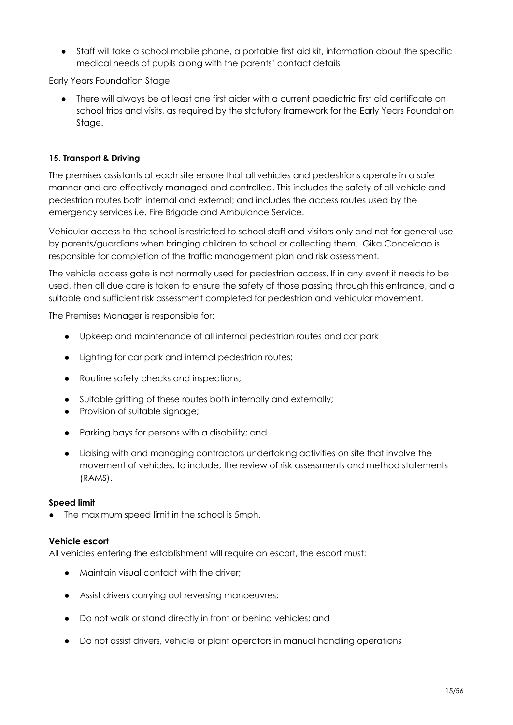● Staff will take a school mobile phone, a portable first aid kit, information about the specific medical needs of pupils along with the parents' contact details

Early Years Foundation Stage

● There will always be at least one first aider with a current paediatric first aid certificate on school trips and visits, as required by the statutory framework for the Early Years Foundation Stage.

#### **15. Transport & Driving**

The premises assistants at each site ensure that all vehicles and pedestrians operate in a safe manner and are effectively managed and controlled. This includes the safety of all vehicle and pedestrian routes both internal and external; and includes the access routes used by the emergency services i.e. Fire Brigade and Ambulance Service.

Vehicular access to the school is restricted to school staff and visitors only and not for general use by parents/guardians when bringing children to school or collecting them. Gika Conceicao is responsible for completion of the traffic management plan and risk assessment.

The vehicle access gate is not normally used for pedestrian access. If in any event it needs to be used, then all due care is taken to ensure the safety of those passing through this entrance, and a suitable and sufficient risk assessment completed for pedestrian and vehicular movement.

The Premises Manager is responsible for:

- Upkeep and maintenance of all internal pedestrian routes and car park
- Lighting for car park and internal pedestrian routes;
- Routine safety checks and inspections;
- Suitable gritting of these routes both internally and externally;
- Provision of suitable signage;
- Parking bays for persons with a disability; and
- Liaising with and managing contractors undertaking activities on site that involve the movement of vehicles, to include, the review of risk assessments and method statements (RAMS).

#### **Speed limit**

● The maximum speed limit in the school is 5mph.

#### **Vehicle escort**

All vehicles entering the establishment will require an escort, the escort must:

- Maintain visual contact with the driver;
- Assist drivers carrying out reversing manoeuvres;
- Do not walk or stand directly in front or behind vehicles; and
- Do not assist drivers, vehicle or plant operators in manual handling operations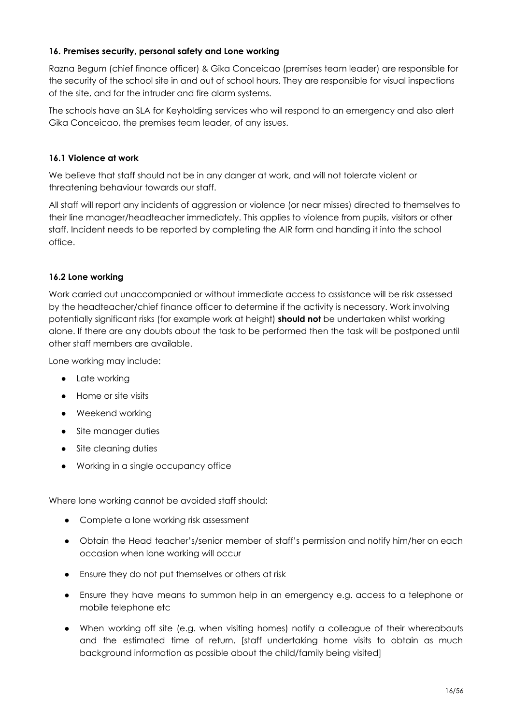#### **16. Premises security, personal safety and Lone working**

Razna Begum (chief finance officer) & Gika Conceicao (premises team leader) are responsible for the security of the school site in and out of school hours. They are responsible for visual inspections of the site, and for the intruder and fire alarm systems.

The schools have an SLA for Keyholding services who will respond to an emergency and also alert Gika Conceicao, the premises team leader, of any issues.

#### **16.1 Violence at work**

We believe that staff should not be in any danger at work, and will not tolerate violent or threatening behaviour towards our staff.

All staff will report any incidents of aggression or violence (or near misses) directed to themselves to their line manager/headteacher immediately. This applies to violence from pupils, visitors or other staff. Incident needs to be reported by completing the AIR form and handing it into the school office.

#### **16.2 Lone working**

Work carried out unaccompanied or without immediate access to assistance will be risk assessed by the headteacher/chief finance officer to determine if the activity is necessary. Work involving potentially significant risks (for example work at height) **should not** be undertaken whilst working alone. If there are any doubts about the task to be performed then the task will be postponed until other staff members are available.

Lone working may include:

- Late working
- Home or site visits
- Weekend working
- Site manager duties
- Site cleaning duties
- Working in a single occupancy office

Where lone working cannot be avoided staff should:

- Complete a lone working risk assessment
- Obtain the Head teacher's/senior member of staff's permission and notify him/her on each occasion when lone working will occur
- Ensure they do not put themselves or others at risk
- Ensure they have means to summon help in an emergency e.g. access to a telephone or mobile telephone etc
- When working off site (e.g. when visiting homes) notify a colleague of their whereabouts and the estimated time of return. [staff undertaking home visits to obtain as much background information as possible about the child/family being visited]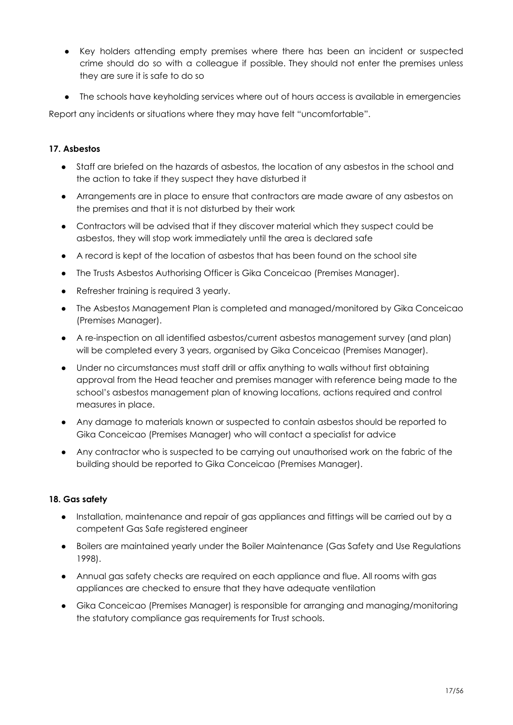- Key holders attending empty premises where there has been an incident or suspected crime should do so with a colleague if possible. They should not enter the premises unless they are sure it is safe to do so
- The schools have keyholding services where out of hours access is available in emergencies

Report any incidents or situations where they may have felt "uncomfortable".

#### **17. Asbestos**

- Staff are briefed on the hazards of asbestos, the location of any asbestos in the school and the action to take if they suspect they have disturbed it
- Arrangements are in place to ensure that contractors are made aware of any asbestos on the premises and that it is not disturbed by their work
- Contractors will be advised that if they discover material which they suspect could be asbestos, they will stop work immediately until the area is declared safe
- A record is kept of the location of asbestos that has been found on the school site
- The Trusts Asbestos Authorising Officer is Gika Conceicao (Premises Manager).
- Refresher training is required 3 yearly.
- The Asbestos Management Plan is completed and managed/monitored by Gika Conceicao (Premises Manager).
- A re-inspection on all identified asbestos/current asbestos management survey (and plan) will be completed every 3 years, organised by Gika Conceicao (Premises Manager).
- Under no circumstances must staff drill or affix anything to walls without first obtaining approval from the Head teacher and premises manager with reference being made to the school's asbestos management plan of knowing locations, actions required and control measures in place.
- Any damage to materials known or suspected to contain asbestos should be reported to Gika Conceicao (Premises Manager) who will contact a specialist for advice
- Any contractor who is suspected to be carrying out unauthorised work on the fabric of the building should be reported to Gika Conceicao (Premises Manager).

#### **18. Gas safety**

- Installation, maintenance and repair of gas appliances and fittings will be carried out by a competent Gas Safe registered engineer
- Boilers are maintained yearly under the Boiler Maintenance (Gas Safety and Use Regulations 1998).
- Annual gas safety checks are required on each appliance and flue. All rooms with gas appliances are checked to ensure that they have adequate ventilation
- Gika Conceicao (Premises Manager) is responsible for arranging and managing/monitoring the statutory compliance gas requirements for Trust schools.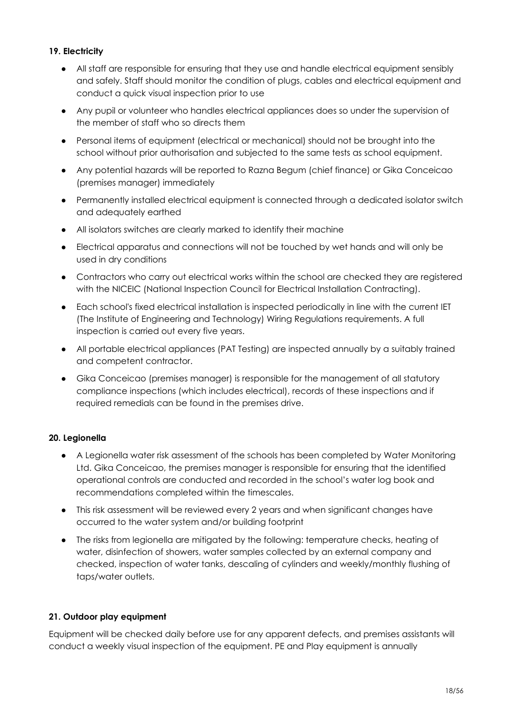#### **19. Electricity**

- All staff are responsible for ensuring that they use and handle electrical equipment sensibly and safely. Staff should monitor the condition of plugs, cables and electrical equipment and conduct a quick visual inspection prior to use
- Any pupil or volunteer who handles electrical appliances does so under the supervision of the member of staff who so directs them
- Personal items of equipment (electrical or mechanical) should not be brought into the school without prior authorisation and subjected to the same tests as school equipment.
- Any potential hazards will be reported to Razna Begum (chief finance) or Gika Conceicao (premises manager) immediately
- Permanently installed electrical equipment is connected through a dedicated isolator switch and adequately earthed
- All isolators switches are clearly marked to identify their machine
- Electrical apparatus and connections will not be touched by wet hands and will only be used in dry conditions
- Contractors who carry out electrical works within the school are checked they are registered with the NICEIC (National Inspection Council for Electrical Installation Contracting).
- Each school's fixed electrical installation is inspected periodically in line with the current IET (The Institute of Engineering and Technology) Wiring Regulations requirements. A full inspection is carried out every five years.
- All portable electrical appliances (PAT Testing) are inspected annually by a suitably trained and competent contractor.
- Gika Conceicao (premises manager) is responsible for the management of all statutory compliance inspections (which includes electrical), records of these inspections and if required remedials can be found in the premises drive.

#### **20. Legionella**

- A Legionella water risk assessment of the schools has been completed by Water Monitoring Ltd. Gika Conceicao, the premises manager is responsible for ensuring that the identified operational controls are conducted and recorded in the school's water log book and recommendations completed within the timescales.
- This risk assessment will be reviewed every 2 years and when significant changes have occurred to the water system and/or building footprint
- The risks from legionella are mitigated by the following: temperature checks, heating of water, disinfection of showers, water samples collected by an external company and checked, inspection of water tanks, descaling of cylinders and weekly/monthly flushing of taps/water outlets.

#### **21. Outdoor play equipment**

Equipment will be checked daily before use for any apparent defects, and premises assistants will conduct a weekly visual inspection of the equipment. PE and Play equipment is annually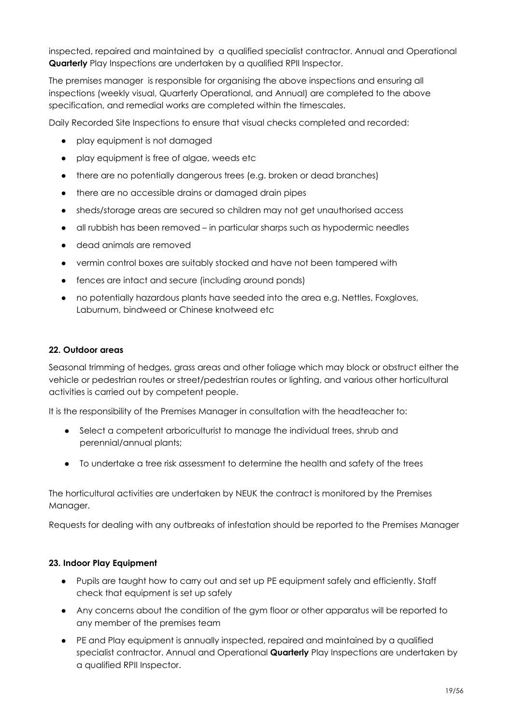inspected, repaired and maintained by a qualified specialist contractor. Annual and Operational **Quarterly** Play Inspections are undertaken by a qualified RPII Inspector.

The premises manager is responsible for organising the above inspections and ensuring all inspections (weekly visual, Quarterly Operational, and Annual) are completed to the above specification, and remedial works are completed within the timescales.

Daily Recorded Site Inspections to ensure that visual checks completed and recorded:

- play equipment is not damaged
- play equipment is free of algae, weeds etc
- there are no potentially dangerous trees (e.g. broken or dead branches)
- there are no accessible drains or damaged drain pipes
- sheds/storage areas are secured so children may not get unauthorised access
- all rubbish has been removed in particular sharps such as hypodermic needles
- dead animals are removed
- vermin control boxes are suitably stocked and have not been tampered with
- fences are intact and secure (including around ponds)
- no potentially hazardous plants have seeded into the area e.g. Nettles, Foxgloves, Laburnum, bindweed or Chinese knotweed etc

#### **22. Outdoor areas**

Seasonal trimming of hedges, grass areas and other foliage which may block or obstruct either the vehicle or pedestrian routes or street/pedestrian routes or lighting, and various other horticultural activities is carried out by competent people.

It is the responsibility of the Premises Manager in consultation with the headteacher to:

- Select a competent arboriculturist to manage the individual trees, shrub and perennial/annual plants;
- To undertake a tree risk assessment to determine the health and safety of the trees

The horticultural activities are undertaken by NEUK the contract is monitored by the Premises Manager.

Requests for dealing with any outbreaks of infestation should be reported to the Premises Manager

#### **23. Indoor Play Equipment**

- Pupils are taught how to carry out and set up PE equipment safely and efficiently. Staff check that equipment is set up safely
- Any concerns about the condition of the gym floor or other apparatus will be reported to any member of the premises team
- PE and Play equipment is annually inspected, repaired and maintained by a qualified specialist contractor. Annual and Operational **Quarterly** Play Inspections are undertaken by a qualified RPII Inspector.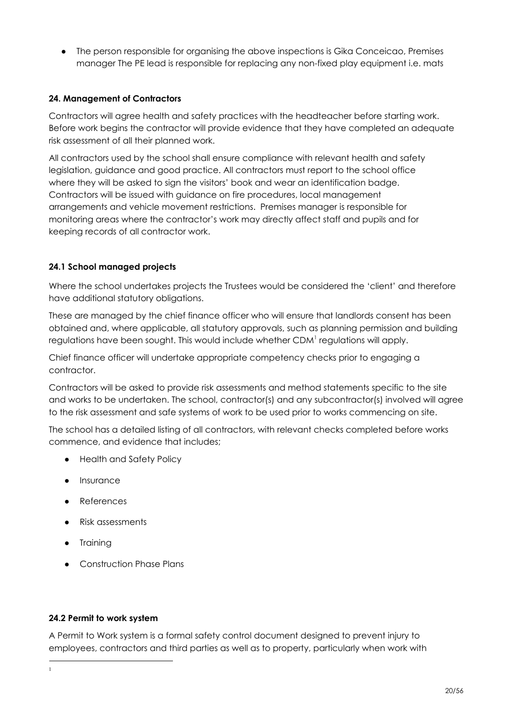The person responsible for organising the above inspections is Gika Conceicao, Premises manager The PE lead is responsible for replacing any non-fixed play equipment i.e. mats

#### **24. Management of Contractors**

Contractors will agree health and safety practices with the headteacher before starting work. Before work begins the contractor will provide evidence that they have completed an adequate risk assessment of all their planned work.

All contractors used by the school shall ensure compliance with relevant health and safety legislation, guidance and good practice. All contractors must report to the school office where they will be asked to sign the visitors' book and wear an identification badge. Contractors will be issued with guidance on fire procedures, local management arrangements and vehicle movement restrictions. Premises manager is responsible for monitoring areas where the contractor's work may directly affect staff and pupils and for keeping records of all contractor work.

#### **24.1 School managed projects**

Where the school undertakes projects the Trustees would be considered the 'client' and therefore have additional statutory obligations.

These are managed by the chief finance officer who will ensure that landlords consent has been obtained and, where applicable, all statutory approvals, such as planning permission and building regulations have been sought. This would include whether CDM $^{\rm l}$  regulations will apply.

Chief finance officer will undertake appropriate competency checks prior to engaging a contractor.

Contractors will be asked to provide risk assessments and method statements specific to the site and works to be undertaken. The school, contractor(s) and any subcontractor(s) involved will agree to the risk assessment and safe systems of work to be used prior to works commencing on site.

The school has a detailed listing of all contractors, with relevant checks completed before works commence, and evidence that includes;

- Health and Safety Policy
- **Insurance**
- References
- Risk assessments
- Training

1

● Construction Phase Plans

#### **24.2 Permit to work system**

A Permit to Work system is a formal safety control document designed to prevent injury to employees, contractors and third parties as well as to property, particularly when work with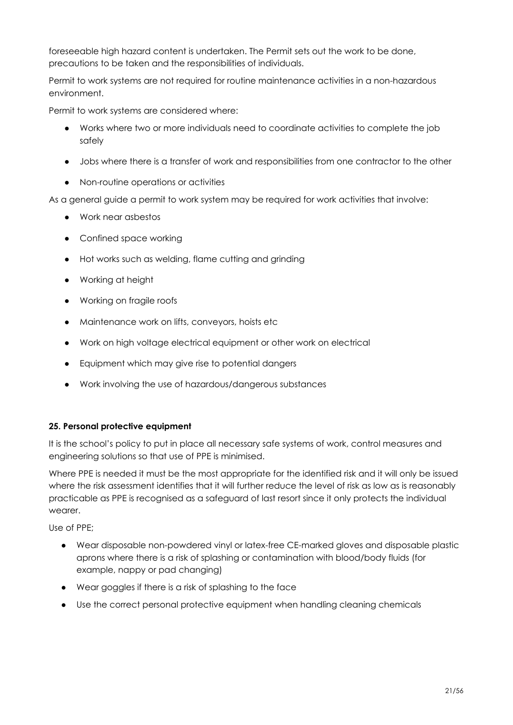foreseeable high hazard content is undertaken. The Permit sets out the work to be done, precautions to be taken and the responsibilities of individuals.

Permit to work systems are not required for routine maintenance activities in a non-hazardous environment.

Permit to work systems are considered where:

- Works where two or more individuals need to coordinate activities to complete the job safely
- Jobs where there is a transfer of work and responsibilities from one contractor to the other
- Non-routine operations or activities

As a general guide a permit to work system may be required for work activities that involve:

- Work near asbestos
- Confined space working
- Hot works such as welding, flame cutting and grinding
- Working at height
- Working on fragile roofs
- Maintenance work on lifts, conveyors, hoists etc
- Work on high voltage electrical equipment or other work on electrical
- Equipment which may give rise to potential dangers
- Work involving the use of hazardous/dangerous substances

#### **25. Personal protective equipment**

It is the school's policy to put in place all necessary safe systems of work, control measures and engineering solutions so that use of PPE is minimised.

Where PPE is needed it must be the most appropriate for the identified risk and it will only be issued where the risk assessment identifies that it will further reduce the level of risk as low as is reasonably practicable as PPE is recognised as a safeguard of last resort since it only protects the individual wearer.

Use of PPE;

- Wear disposable non-powdered vinyl or latex-free CE-marked gloves and disposable plastic aprons where there is a risk of splashing or contamination with blood/body fluids (for example, nappy or pad changing)
- Wear goggles if there is a risk of splashing to the face
- Use the correct personal protective equipment when handling cleaning chemicals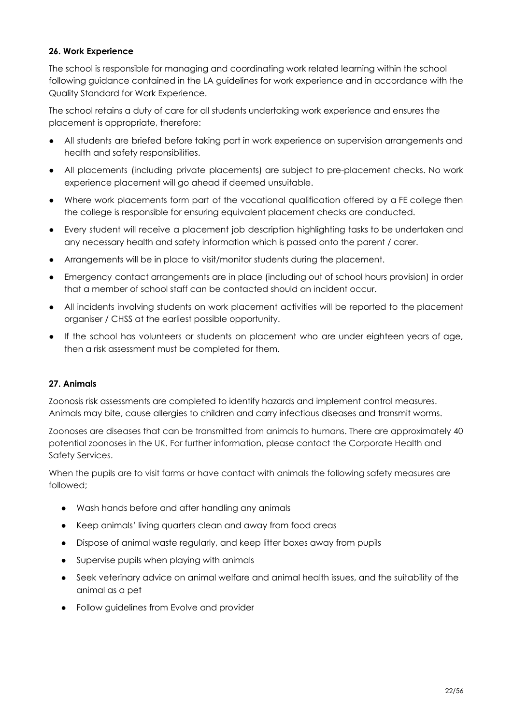#### **26. Work Experience**

The school is responsible for managing and coordinating work related learning within the school following guidance contained in the LA guidelines for work experience and in accordance with the Quality Standard for Work Experience.

The school retains a duty of care for all students undertaking work experience and ensures the placement is appropriate, therefore:

- All students are briefed before taking part in work experience on supervision arrangements and health and safety responsibilities.
- All placements (including private placements) are subject to pre-placement checks. No work experience placement will go ahead if deemed unsuitable.
- Where work placements form part of the vocational qualification offered by a FE college then the college is responsible for ensuring equivalent placement checks are conducted.
- Every student will receive a placement job description highlighting tasks to be undertaken and any necessary health and safety information which is passed onto the parent / carer.
- Arrangements will be in place to visit/monitor students during the placement.
- Emergency contact arrangements are in place (including out of school hours provision) in order that a member of school staff can be contacted should an incident occur.
- All incidents involving students on work placement activities will be reported to the placement organiser / CHSS at the earliest possible opportunity.
- If the school has volunteers or students on placement who are under eighteen years of age, then a risk assessment must be completed for them.

#### **27. Animals**

Zoonosis risk assessments are completed to identify hazards and implement control measures. Animals may bite, cause allergies to children and carry infectious diseases and transmit worms.

Zoonoses are diseases that can be transmitted from animals to humans. There are approximately 40 potential zoonoses in the UK. For further information, please contact the Corporate Health and Safety Services.

When the pupils are to visit farms or have contact with animals the following safety measures are followed;

- Wash hands before and after handling any animals
- Keep animals' living quarters clean and away from food areas
- Dispose of animal waste regularly, and keep litter boxes away from pupils
- Supervise pupils when playing with animals
- Seek veterinary advice on animal welfare and animal health issues, and the suitability of the animal as a pet
- Follow guidelines from Evolve and provider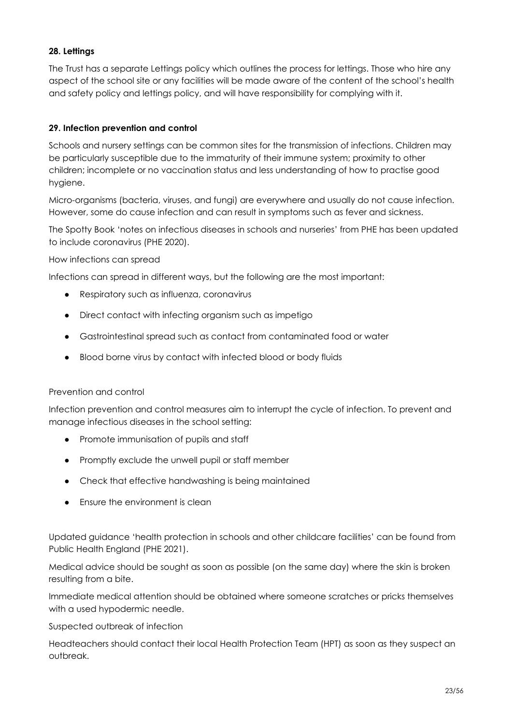#### **28. Lettings**

The Trust has a separate Lettings policy which outlines the process for lettings. Those who hire any aspect of the school site or any facilities will be made aware of the content of the school's health and safety policy and lettings policy, and will have responsibility for complying with it.

#### **29. Infection prevention and control**

Schools and nursery settings can be common sites for the transmission of infections. Children may be particularly susceptible due to the immaturity of their immune system; proximity to other children; incomplete or no vaccination status and less understanding of how to practise good hygiene.

Micro-organisms (bacteria, viruses, and fungi) are everywhere and usually do not cause infection. However, some do cause infection and can result in symptoms such as fever and sickness.

The Spotty Book 'notes on infectious diseases in schools and nurseries' from PHE has been updated to include coronavirus (PHE 2020).

How infections can spread

Infections can spread in different ways, but the following are the most important:

- Respiratory such as influenza, coronavirus
- Direct contact with infecting organism such as impetigo
- Gastrointestinal spread such as contact from contaminated food or water
- Blood borne virus by contact with infected blood or body fluids

#### Prevention and control

Infection prevention and control measures aim to interrupt the cycle of infection. To prevent and manage infectious diseases in the school setting:

- Promote immunisation of pupils and staff
- Promptly exclude the unwell pupil or staff member
- Check that effective handwashing is being maintained
- Ensure the environment is clean

Updated guidance 'health protection in schools and other childcare facilities' can be found from Public Health England (PHE 2021).

Medical advice should be sought as soon as possible (on the same day) where the skin is broken resulting from a bite.

Immediate medical attention should be obtained where someone scratches or pricks themselves with a used hypodermic needle.

#### Suspected outbreak of infection

Headteachers should contact their local Health Protection Team (HPT) as soon as they suspect an outbreak.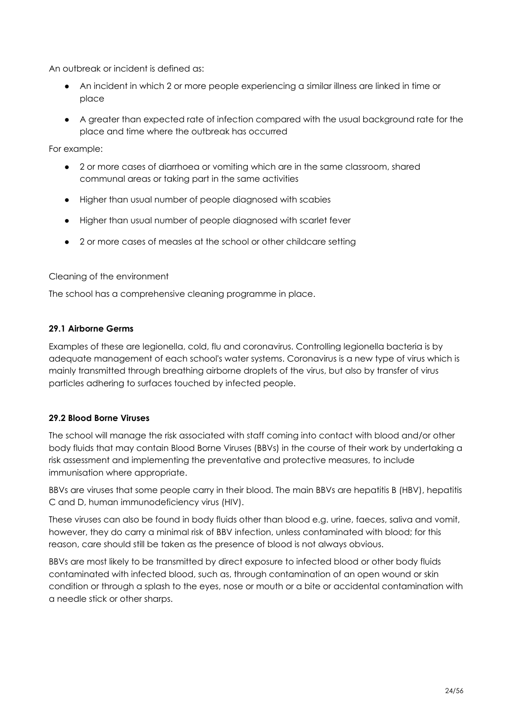An outbreak or incident is defined as:

- An incident in which 2 or more people experiencing a similar illness are linked in time or place
- A greater than expected rate of infection compared with the usual background rate for the place and time where the outbreak has occurred

For example:

- 2 or more cases of diarrhoea or vomiting which are in the same classroom, shared communal areas or taking part in the same activities
- Higher than usual number of people diagnosed with scabies
- Higher than usual number of people diagnosed with scarlet fever
- 2 or more cases of measles at the school or other childcare setting

#### Cleaning of the environment

The school has a comprehensive cleaning programme in place.

#### **29.1 Airborne Germs**

Examples of these are legionella, cold, flu and coronavirus. Controlling legionella bacteria is by adequate management of each school's water systems. Coronavirus is a new type of virus which is mainly transmitted through breathing airborne droplets of the virus, but also by transfer of virus particles adhering to surfaces touched by infected people.

#### **29.2 Blood Borne Viruses**

The school will manage the risk associated with staff coming into contact with blood and/or other body fluids that may contain Blood Borne Viruses (BBVs) in the course of their work by undertaking a risk assessment and implementing the preventative and protective measures, to include immunisation where appropriate.

BBVs are viruses that some people carry in their blood. The main BBVs are hepatitis B (HBV), hepatitis C and D, human immunodeficiency virus (HIV).

These viruses can also be found in body fluids other than blood e.g. urine, faeces, saliva and vomit, however, they do carry a minimal risk of BBV infection, unless contaminated with blood; for this reason, care should still be taken as the presence of blood is not always obvious.

BBVs are most likely to be transmitted by direct exposure to infected blood or other body fluids contaminated with infected blood, such as, through contamination of an open wound or skin condition or through a splash to the eyes, nose or mouth or a bite or accidental contamination with a needle stick or other sharps.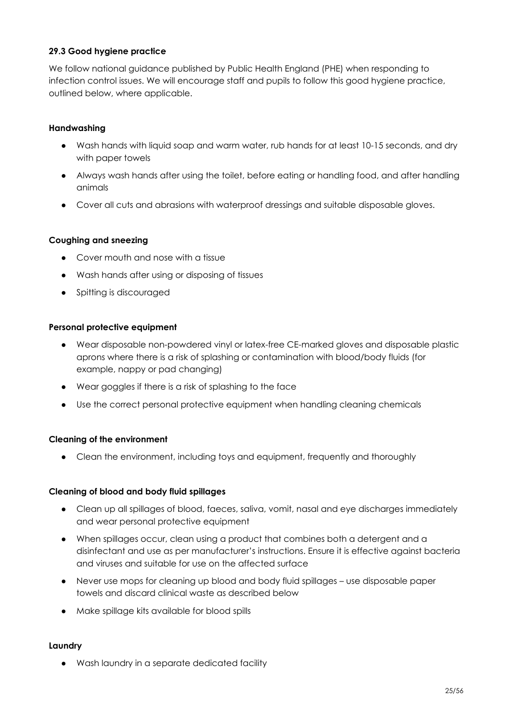#### **29.3 Good hygiene practice**

We follow national guidance published by Public Health England (PHE) when responding to infection control issues. We will encourage staff and pupils to follow this good hygiene practice, outlined below, where applicable.

#### **Handwashing**

- Wash hands with liquid soap and warm water, rub hands for at least 10-15 seconds, and dry with paper towels
- Always wash hands after using the toilet, before eating or handling food, and after handling animals
- Cover all cuts and abrasions with waterproof dressings and suitable disposable gloves.

#### **Coughing and sneezing**

- Cover mouth and nose with a tissue
- Wash hands after using or disposing of tissues
- Spitting is discouraged

#### **Personal protective equipment**

- Wear disposable non-powdered vinyl or latex-free CE-marked gloves and disposable plastic aprons where there is a risk of splashing or contamination with blood/body fluids (for example, nappy or pad changing)
- Wear goggles if there is a risk of splashing to the face
- Use the correct personal protective equipment when handling cleaning chemicals

#### **Cleaning of the environment**

• Clean the environment, including toys and equipment, frequently and thoroughly

#### **Cleaning of blood and body fluid spillages**

- Clean up all spillages of blood, faeces, saliva, vomit, nasal and eye discharges immediately and wear personal protective equipment
- When spillages occur, clean using a product that combines both a detergent and a disinfectant and use as per manufacturer's instructions. Ensure it is effective against bacteria and viruses and suitable for use on the affected surface
- Never use mops for cleaning up blood and body fluid spillages use disposable paper towels and discard clinical waste as described below
- Make spillage kits available for blood spills

#### **Laundry**

● Wash laundry in a separate dedicated facility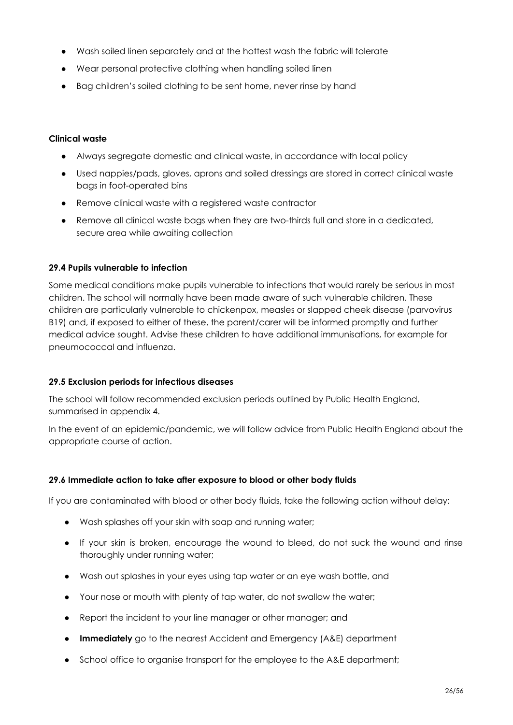- Wash soiled linen separately and at the hottest wash the fabric will tolerate
- Wear personal protective clothing when handling soiled linen
- Bag children's soiled clothing to be sent home, never rinse by hand

#### **Clinical waste**

- Always segregate domestic and clinical waste, in accordance with local policy
- Used nappies/pads, gloves, aprons and soiled dressings are stored in correct clinical waste bags in foot-operated bins
- Remove clinical waste with a registered waste contractor
- Remove all clinical waste bags when they are two-thirds full and store in a dedicated, secure area while awaiting collection

#### **29.4 Pupils vulnerable to infection**

Some medical conditions make pupils vulnerable to infections that would rarely be serious in most children. The school will normally have been made aware of such vulnerable children. These children are particularly vulnerable to chickenpox, measles or slapped cheek disease (parvovirus B19) and, if exposed to either of these, the parent/carer will be informed promptly and further medical advice sought. Advise these children to have additional immunisations, for example for pneumococcal and influenza.

#### **29.5 Exclusion periods for infectious diseases**

The school will follow recommended exclusion periods outlined by Public Health England, summarised in appendix 4.

In the event of an epidemic/pandemic, we will follow advice from Public Health England about the appropriate course of action.

#### **29.6 Immediate action to take after exposure to blood or other body fluids**

If you are contaminated with blood or other body fluids, take the following action without delay:

- Wash splashes off your skin with soap and running water;
- If your skin is broken, encourage the wound to bleed, do not suck the wound and rinse thoroughly under running water;
- Wash out splashes in your eyes using tap water or an eye wash bottle, and
- Your nose or mouth with plenty of tap water, do not swallow the water;
- Report the incident to your line manager or other manager; and
- **Immediately** go to the nearest Accident and Emergency (A&E) department
- School office to organise transport for the employee to the A&E department;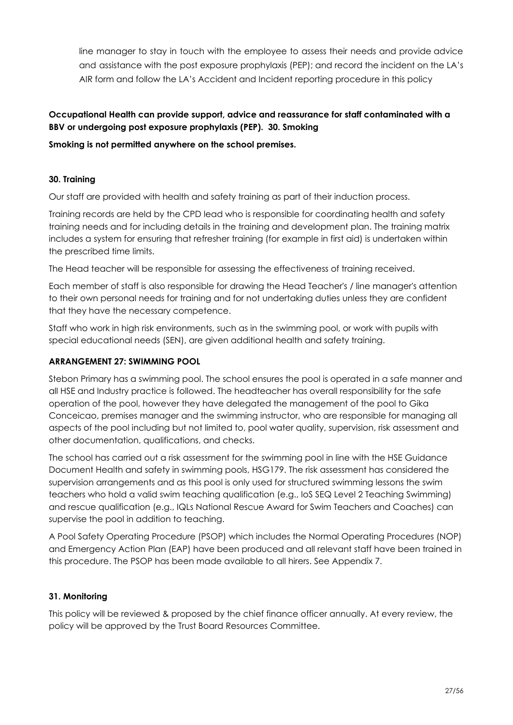line manager to stay in touch with the employee to assess their needs and provide advice and assistance with the post exposure prophylaxis (PEP); and record the incident on the LA's AIR form and follow the LA's Accident and Incident reporting procedure in this policy

#### **Occupational Health can provide support, advice and reassurance for staff contaminated with a BBV or undergoing post exposure prophylaxis (PEP). 30. Smoking**

#### **Smoking is not permitted anywhere on the school premises.**

#### **30. Training**

Our staff are provided with health and safety training as part of their induction process.

Training records are held by the CPD lead who is responsible for coordinating health and safety training needs and for including details in the training and development plan. The training matrix includes a system for ensuring that refresher training (for example in first aid) is undertaken within the prescribed time limits.

The Head teacher will be responsible for assessing the effectiveness of training received.

Each member of staff is also responsible for drawing the Head Teacher's / line manager's attention to their own personal needs for training and for not undertaking duties unless they are confident that they have the necessary competence.

Staff who work in high risk environments, such as in the swimming pool, or work with pupils with special educational needs (SEN), are given additional health and safety training.

#### **ARRANGEMENT 27: SWIMMING POOL**

Stebon Primary has a swimming pool. The school ensures the pool is operated in a safe manner and all HSE and Industry practice is followed. The headteacher has overall responsibility for the safe operation of the pool, however they have delegated the management of the pool to Gika Conceicao, premises manager and the swimming instructor, who are responsible for managing all aspects of the pool including but not limited to, pool water quality, supervision, risk assessment and other documentation, qualifications, and checks.

The school has carried out a risk assessment for the swimming pool in line with the HSE Guidance Document Health and safety in swimming pools, HSG179. The risk assessment has considered the supervision arrangements and as this pool is only used for structured swimming lessons the swim teachers who hold a valid swim teaching qualification (e.g., IoS SEQ Level 2 Teaching Swimming) and rescue qualification (e.g., IQLs National Rescue Award for Swim Teachers and Coaches) can supervise the pool in addition to teaching.

A Pool Safety Operating Procedure (PSOP) which includes the Normal Operating Procedures (NOP) and Emergency Action Plan (EAP) have been produced and all relevant staff have been trained in this procedure. The PSOP has been made available to all hirers. See Appendix 7.

#### **31. Monitoring**

This policy will be reviewed & proposed by the chief finance officer annually. At every review, the policy will be approved by the Trust Board Resources Committee.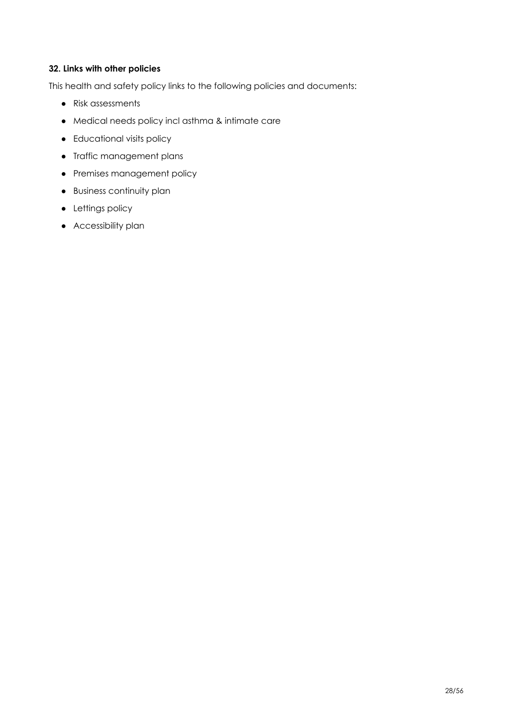#### **32. Links with other policies**

This health and safety policy links to the following policies and documents:

- Risk assessments
- Medical needs policy incl asthma & intimate care
- Educational visits policy
- Traffic management plans
- Premises management policy
- Business continuity plan
- Lettings policy
- Accessibility plan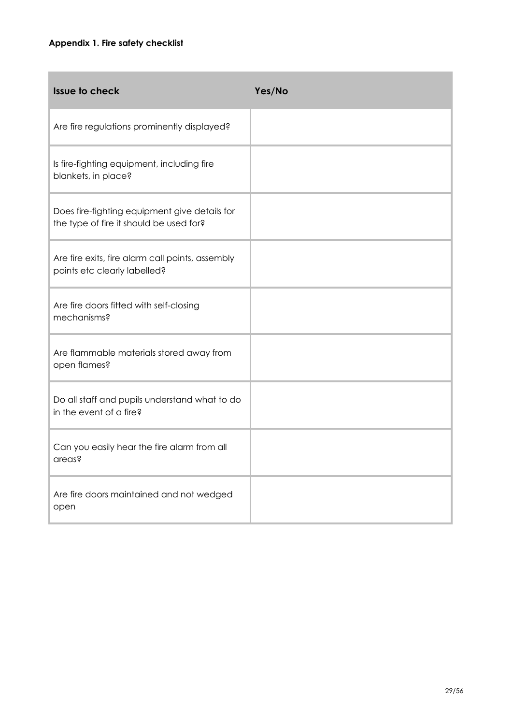| <b>Issue to check</b>                                                                    | Yes/No |
|------------------------------------------------------------------------------------------|--------|
| Are fire regulations prominently displayed?                                              |        |
| Is fire-fighting equipment, including fire<br>blankets, in place?                        |        |
| Does fire-fighting equipment give details for<br>the type of fire it should be used for? |        |
| Are fire exits, fire alarm call points, assembly<br>points etc clearly labelled?         |        |
| Are fire doors fitted with self-closing<br>mechanisms?                                   |        |
| Are flammable materials stored away from<br>open flames?                                 |        |
| Do all staff and pupils understand what to do<br>in the event of a fire?                 |        |
| Can you easily hear the fire alarm from all<br>areas?                                    |        |
| Are fire doors maintained and not wedged<br>open                                         |        |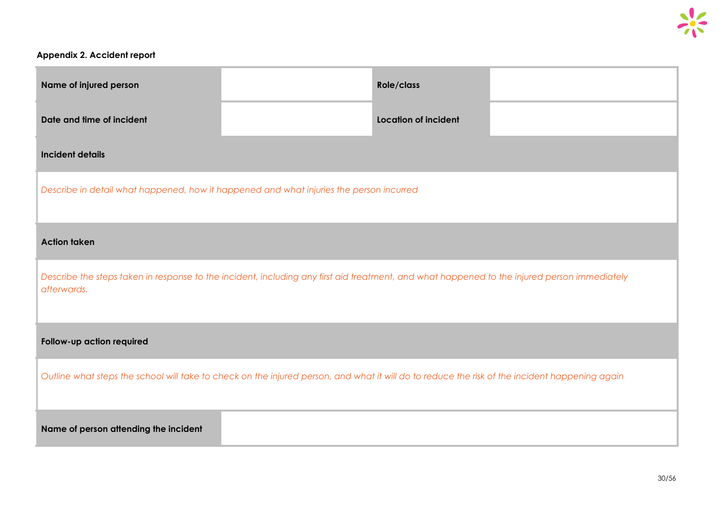#### **Appendix 2. Accident report**

| Name of injured person                                                                                                                                      |  | Role/class                  |  |  |
|-------------------------------------------------------------------------------------------------------------------------------------------------------------|--|-----------------------------|--|--|
| Date and time of incident                                                                                                                                   |  | <b>Location of incident</b> |  |  |
| <b>Incident details</b>                                                                                                                                     |  |                             |  |  |
| Describe in detail what happened, how it happened and what injuries the person incurred                                                                     |  |                             |  |  |
| <b>Action taken</b>                                                                                                                                         |  |                             |  |  |
| Describe the steps taken in response to the incident, including any first aid treatment, and what happened to the injured person immediately<br>afterwards. |  |                             |  |  |
| Follow-up action required                                                                                                                                   |  |                             |  |  |
| Outline what steps the school will take to check on the injured person, and what it will do to reduce the risk of the incident happening again              |  |                             |  |  |
| Name of person attending the incident                                                                                                                       |  |                             |  |  |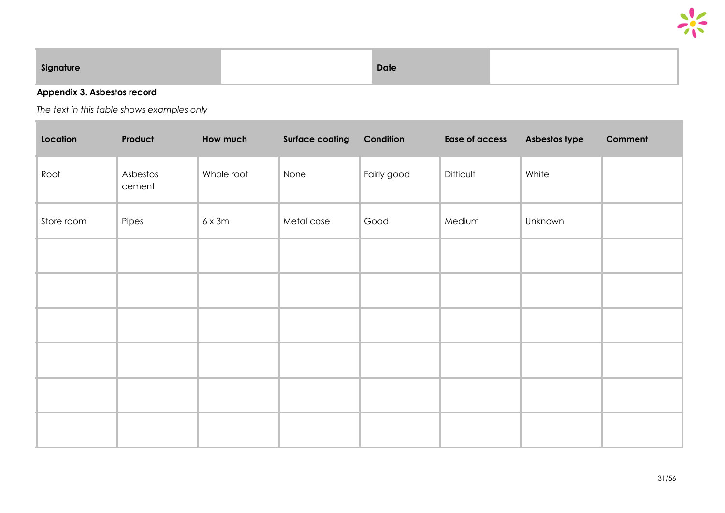

| Sianature | <b>Date</b> |  |
|-----------|-------------|--|
|           |             |  |

#### **Appendix 3. Asbestos record**

*The text in this table shows examples only*

| Location   | Product            | How much      | <b>Surface coating</b> | Condition   | <b>Ease of access</b> | Asbestos type | <b>Comment</b> |
|------------|--------------------|---------------|------------------------|-------------|-----------------------|---------------|----------------|
| Roof       | Asbestos<br>cement | Whole roof    | None                   | Fairly good | Difficult             | White         |                |
| Store room | Pipes              | $6 \times 3m$ | Metal case             | Good        | Medium                | Unknown       |                |
|            |                    |               |                        |             |                       |               |                |
|            |                    |               |                        |             |                       |               |                |
|            |                    |               |                        |             |                       |               |                |
|            |                    |               |                        |             |                       |               |                |
|            |                    |               |                        |             |                       |               |                |
|            |                    |               |                        |             |                       |               |                |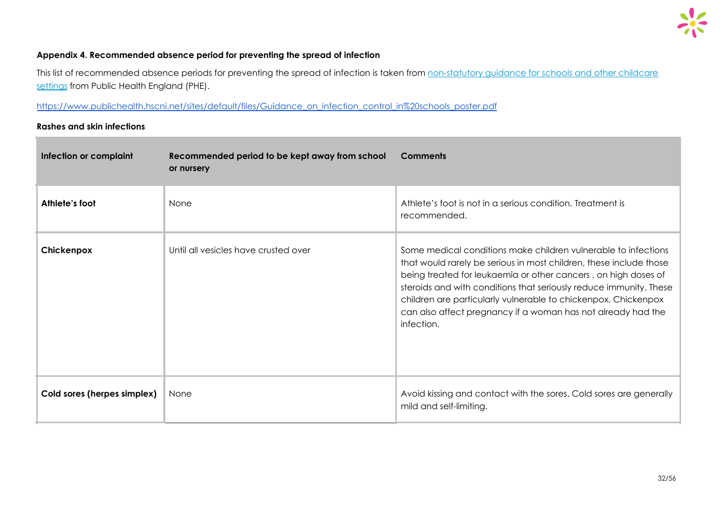

#### **Appendix 4. Recommended absence period for preventing the spread of infection**

This list of recommended absence periods for preventing the spread of infection is taken from [non-statutory](https://www.gov.uk/government/uploads/system/uploads/attachment_data/file/522337/Guidance_on_infection_control_in_schools.pdf) guidance for schools and other childcare [settings](https://www.gov.uk/government/uploads/system/uploads/attachment_data/file/522337/Guidance_on_infection_control_in_schools.pdf) from Public Health England (PHE).

[https://www.publichealth.hscni.net/sites/default/files/Guidance\\_on\\_infection\\_control\\_in%20schools\\_poster.pdf](https://www.publichealth.hscni.net/sites/default/files/Guidance_on_infection_control_in%20schools_poster.pdf)

#### **Rashes and skin infections**

| Infection or complaint      | Recommended period to be kept away from school<br>or nursery | <b>Comments</b>                                                                                                                                                                                                                                                                                                                                                                                                              |
|-----------------------------|--------------------------------------------------------------|------------------------------------------------------------------------------------------------------------------------------------------------------------------------------------------------------------------------------------------------------------------------------------------------------------------------------------------------------------------------------------------------------------------------------|
| Athlete's foot              | None                                                         | Athlete's foot is not in a serious condition. Treatment is<br>recommended.                                                                                                                                                                                                                                                                                                                                                   |
| Chickenpox                  | Until all vesicles have crusted over                         | Some medical conditions make children vulnerable to infections<br>that would rarely be serious in most children, these include those<br>being treated for leukaemia or other cancers, on high doses of<br>steroids and with conditions that seriously reduce immunity. These<br>children are particularly vulnerable to chickenpox. Chickenpox<br>can also affect pregnancy if a woman has not already had the<br>infection. |
| Cold sores (herpes simplex) | None                                                         | Avoid kissing and contact with the sores. Cold sores are generally<br>mild and self-limiting.                                                                                                                                                                                                                                                                                                                                |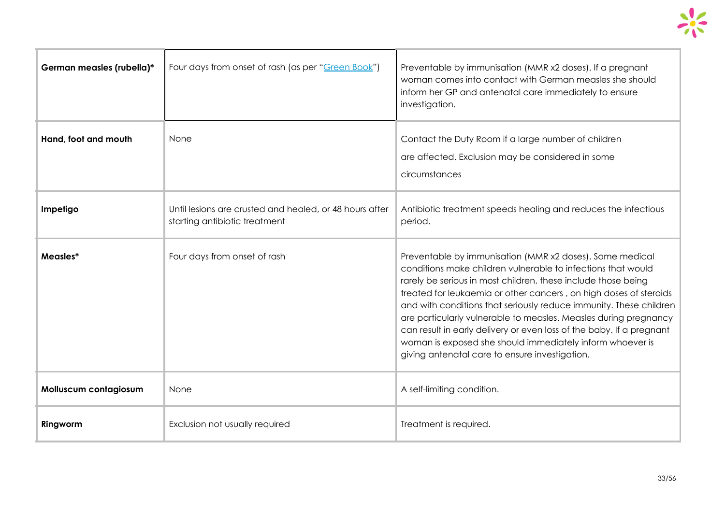

| German measles (rubella)* | Four days from onset of rash (as per "Green Book")                                       | Preventable by immunisation (MMR x2 doses). If a pregnant<br>woman comes into contact with German measles she should<br>inform her GP and antenatal care immediately to ensure<br>investigation.                                                                                                                                                                                                                                                                                                                                                                                                |
|---------------------------|------------------------------------------------------------------------------------------|-------------------------------------------------------------------------------------------------------------------------------------------------------------------------------------------------------------------------------------------------------------------------------------------------------------------------------------------------------------------------------------------------------------------------------------------------------------------------------------------------------------------------------------------------------------------------------------------------|
| Hand, foot and mouth      | None                                                                                     | Contact the Duty Room if a large number of children<br>are affected. Exclusion may be considered in some<br>circumstances                                                                                                                                                                                                                                                                                                                                                                                                                                                                       |
| Impetigo                  | Until lesions are crusted and healed, or 48 hours after<br>starting antibiotic treatment | Antibiotic treatment speeds healing and reduces the infectious<br>period.                                                                                                                                                                                                                                                                                                                                                                                                                                                                                                                       |
| Measles*                  | Four days from onset of rash                                                             | Preventable by immunisation (MMR x2 doses). Some medical<br>conditions make children vulnerable to infections that would<br>rarely be serious in most children, these include those being<br>treated for leukaemia or other cancers, on high doses of steroids<br>and with conditions that seriously reduce immunity. These children<br>are particularly vulnerable to measles. Measles during pregnancy<br>can result in early delivery or even loss of the baby. If a pregnant<br>woman is exposed she should immediately inform whoever is<br>giving antenatal care to ensure investigation. |
| Molluscum contagiosum     | None                                                                                     | A self-limiting condition.                                                                                                                                                                                                                                                                                                                                                                                                                                                                                                                                                                      |
| Ringworm                  | Exclusion not usually required                                                           | Treatment is required.                                                                                                                                                                                                                                                                                                                                                                                                                                                                                                                                                                          |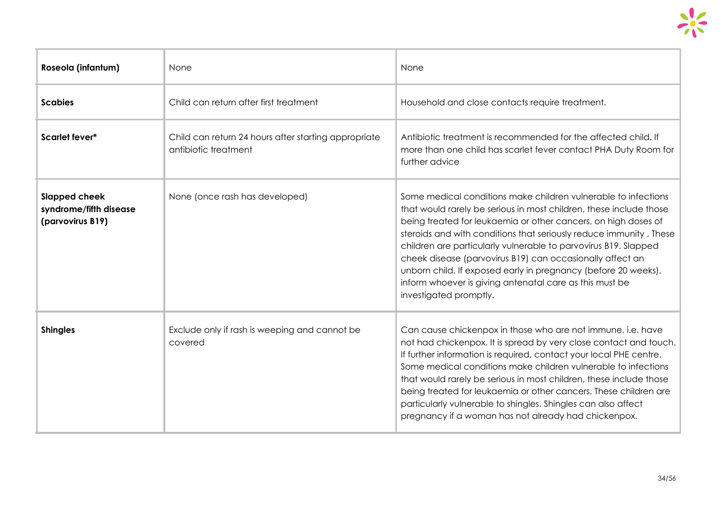| Roseola (infantum)                                                                                               | None                                                     | None                                                                                                                                                                                                                                                                                                                                                                                                                                                                                                                                                                |
|------------------------------------------------------------------------------------------------------------------|----------------------------------------------------------|---------------------------------------------------------------------------------------------------------------------------------------------------------------------------------------------------------------------------------------------------------------------------------------------------------------------------------------------------------------------------------------------------------------------------------------------------------------------------------------------------------------------------------------------------------------------|
| <b>Scabies</b>                                                                                                   | Child can return after first treatment                   | Household and close contacts require treatment.                                                                                                                                                                                                                                                                                                                                                                                                                                                                                                                     |
| Scarlet fever*<br>Child can return 24 hours after starting appropriate<br>antibiotic treatment<br>further advice |                                                          | Antibiotic treatment is recommended for the affected child. If<br>more than one child has scarlet fever contact PHA Duty Room for                                                                                                                                                                                                                                                                                                                                                                                                                                   |
| <b>Slapped cheek</b><br>syndrome/fifth disease<br>(parvovirus B19)                                               | None (once rash has developed)                           | Some medical conditions make children vulnerable to infections<br>that would rarely be serious in most children, these include those<br>being treated for leukaemia or other cancers, on high doses of<br>steroids and with conditions that seriously reduce immunity. These<br>children are particularly vulnerable to parvovirus B19. Slapped<br>cheek disease (parvovirus B19) can occasionally affect an<br>unborn child. If exposed early in pregnancy (before 20 weeks),<br>inform whoever is giving antenatal care as this must be<br>investigated promptly. |
| <b>Shingles</b>                                                                                                  | Exclude only if rash is weeping and cannot be<br>covered | Can cause chickenpox in those who are not immune, i.e. have<br>not had chickenpox. It is spread by very close contact and touch.<br>If further information is required, contact your local PHE centre.<br>Some medical conditions make children vulnerable to infections<br>that would rarely be serious in most children, these include those<br>being treated for leukaemia or other cancers. These children are<br>particularly vulnerable to shingles. Shingles can also affect<br>pregnancy if a woman has not already had chickenpox.                         |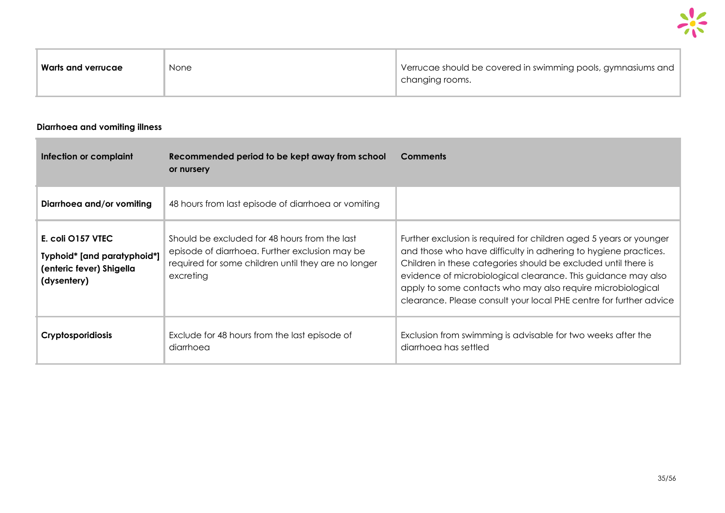| Warts and verrucae | None | Verrucae should be covered in swimming pools, gymnasiums and |
|--------------------|------|--------------------------------------------------------------|
|                    |      | changing rooms.                                              |
|                    |      |                                                              |

#### **Diarrhoea and vomiting illness**

| Infection or complaint                                                                      | Recommended period to be kept away from school<br>or nursery                                                                                                        | <b>Comments</b>                                                                                                                                                                                                                                                                                                                                                                                               |
|---------------------------------------------------------------------------------------------|---------------------------------------------------------------------------------------------------------------------------------------------------------------------|---------------------------------------------------------------------------------------------------------------------------------------------------------------------------------------------------------------------------------------------------------------------------------------------------------------------------------------------------------------------------------------------------------------|
| Diarrhoea and/or vomiting                                                                   | 48 hours from last episode of diarrhoed or vomiting                                                                                                                 |                                                                                                                                                                                                                                                                                                                                                                                                               |
| E. coli O157 VTEC<br>Typhoid* [and paratyphoid*]<br>(enteric fever) Shigella<br>(dysentery) | Should be excluded for 48 hours from the last<br>episode of diarrhoea. Further exclusion may be<br>required for some children until they are no longer<br>excreting | Further exclusion is required for children aged 5 years or younger<br>and those who have difficulty in adhering to hygiene practices.<br>Children in these categories should be excluded until there is<br>evidence of microbiological clearance. This guidance may also<br>apply to some contacts who may also require microbiological<br>clearance. Please consult your local PHE centre for further advice |
| <b>Cryptosporidiosis</b>                                                                    | Exclude for 48 hours from the last episode of<br>diarrhoea                                                                                                          | Exclusion from swimming is advisable for two weeks after the<br>diarrhoed has settled                                                                                                                                                                                                                                                                                                                         |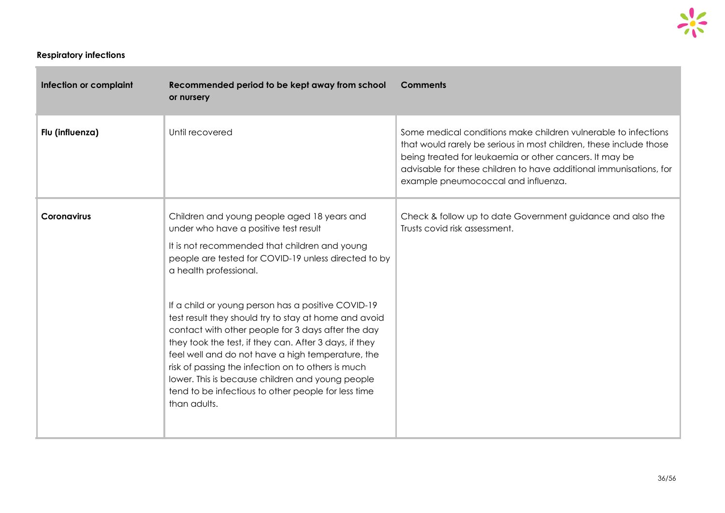#### **Respiratory infections**

r.

| Infection or complaint | Recommended period to be kept away from school<br>or nursery                                                                                                                                                                                                                                                                                                                                                                                                                                                                                                                                                                                                                                 | <b>Comments</b>                                                                                                                                                                                                                                                                                              |
|------------------------|----------------------------------------------------------------------------------------------------------------------------------------------------------------------------------------------------------------------------------------------------------------------------------------------------------------------------------------------------------------------------------------------------------------------------------------------------------------------------------------------------------------------------------------------------------------------------------------------------------------------------------------------------------------------------------------------|--------------------------------------------------------------------------------------------------------------------------------------------------------------------------------------------------------------------------------------------------------------------------------------------------------------|
| Flu (influenza)        | Until recovered                                                                                                                                                                                                                                                                                                                                                                                                                                                                                                                                                                                                                                                                              | Some medical conditions make children vulnerable to infections<br>that would rarely be serious in most children, these include those<br>being treated for leukaemia or other cancers. It may be<br>advisable for these children to have additional immunisations, for<br>example pneumococcal and influenza. |
| <b>Coronavirus</b>     | Children and young people aged 18 years and<br>under who have a positive test result<br>It is not recommended that children and young<br>people are tested for COVID-19 unless directed to by<br>a health professional.<br>If a child or young person has a positive COVID-19<br>test result they should try to stay at home and avoid<br>contact with other people for 3 days after the day<br>they took the test, if they can. After 3 days, if they<br>feel well and do not have a high temperature, the<br>risk of passing the infection on to others is much<br>lower. This is because children and young people<br>tend to be infectious to other people for less time<br>than adults. | Check & follow up to date Government guidance and also the<br>Trusts covid risk assessment.                                                                                                                                                                                                                  |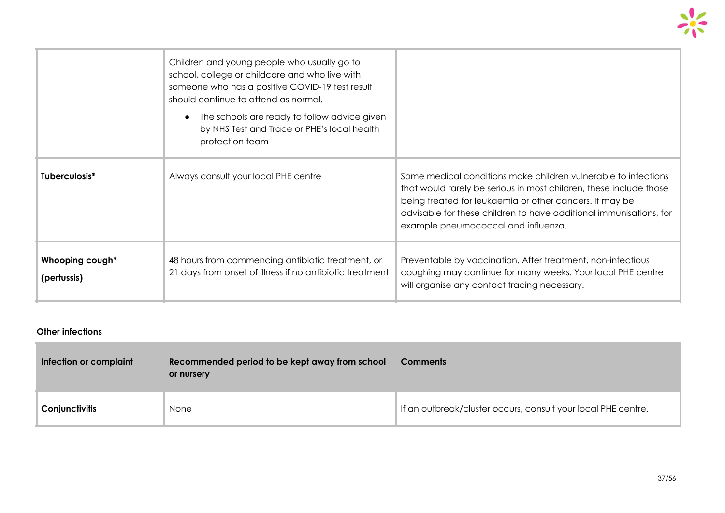|                                | Children and young people who usually go to<br>school, college or childcare and who live with<br>someone who has a positive COVID-19 test result<br>should continue to attend as normal.<br>The schools are ready to follow advice given<br>$\bullet$<br>by NHS Test and Trace or PHE's local health<br>protection team |                                                                                                                                                                                                                                                                                                              |
|--------------------------------|-------------------------------------------------------------------------------------------------------------------------------------------------------------------------------------------------------------------------------------------------------------------------------------------------------------------------|--------------------------------------------------------------------------------------------------------------------------------------------------------------------------------------------------------------------------------------------------------------------------------------------------------------|
| Tuberculosis*                  | Always consult your local PHE centre                                                                                                                                                                                                                                                                                    | Some medical conditions make children vulnerable to infections<br>that would rarely be serious in most children, these include those<br>being treated for leukaemia or other cancers. It may be<br>advisable for these children to have additional immunisations, for<br>example pneumococcal and influenza. |
| Whooping cough*<br>(pertussis) | 48 hours from commencing antibiotic treatment, or<br>21 days from onset of illness if no antibiotic treatment                                                                                                                                                                                                           | Preventable by vaccination. After treatment, non-infectious<br>coughing may continue for many weeks. Your local PHE centre<br>will organise any contact tracing necessary.                                                                                                                                   |

#### **Other infections**

e.

| Infection or complaint | Recommended period to be kept away from school<br>or nursery | <b>Comments</b>                                               |
|------------------------|--------------------------------------------------------------|---------------------------------------------------------------|
| Conjunctivitis         | None                                                         | If an outbreak/cluster occurs, consult your local PHE centre. |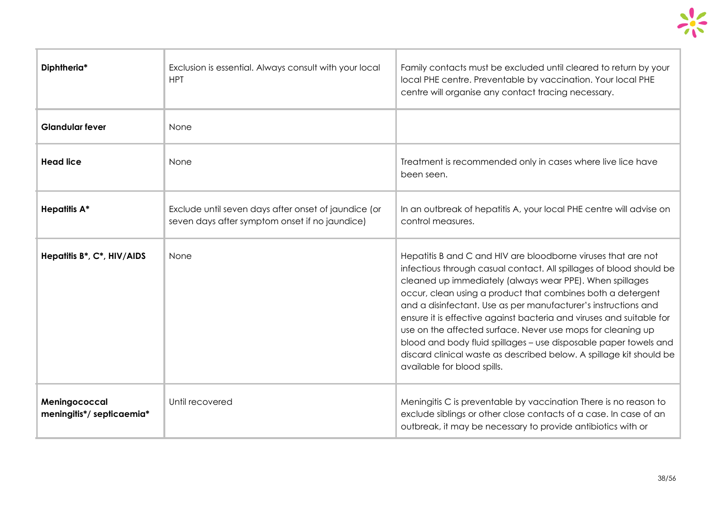

| Diphtheria*                                | Exclusion is essential. Always consult with your local<br><b>HPT</b>                                                                                                                               | Family contacts must be excluded until cleared to return by your<br>local PHE centre. Preventable by vaccination. Your local PHE<br>centre will organise any contact tracing necessary.                                                                                                                                                                                                                                                                                                                                                                                                                                                            |
|--------------------------------------------|----------------------------------------------------------------------------------------------------------------------------------------------------------------------------------------------------|----------------------------------------------------------------------------------------------------------------------------------------------------------------------------------------------------------------------------------------------------------------------------------------------------------------------------------------------------------------------------------------------------------------------------------------------------------------------------------------------------------------------------------------------------------------------------------------------------------------------------------------------------|
| <b>Glandular fever</b>                     | None                                                                                                                                                                                               |                                                                                                                                                                                                                                                                                                                                                                                                                                                                                                                                                                                                                                                    |
| <b>Head lice</b>                           | None                                                                                                                                                                                               | Treatment is recommended only in cases where live lice have<br>been seen.                                                                                                                                                                                                                                                                                                                                                                                                                                                                                                                                                                          |
| <b>Hepatitis A*</b>                        | Exclude until seven days after onset of jaundice (or<br>In an outbreak of hepatitis A, your local PHE centre will advise on<br>seven days after symptom onset if no jaundice)<br>control measures. |                                                                                                                                                                                                                                                                                                                                                                                                                                                                                                                                                                                                                                                    |
| Hepatitis B*, C*, HIV/AIDS                 | None                                                                                                                                                                                               | Hepatitis B and C and HIV are bloodborne viruses that are not<br>infectious through casual contact. All spillages of blood should be<br>cleaned up immediately (always wear PPE). When spillages<br>occur, clean using a product that combines both a detergent<br>and a disinfectant. Use as per manufacturer's instructions and<br>ensure it is effective against bacteria and viruses and suitable for<br>use on the affected surface. Never use mops for cleaning up<br>blood and body fluid spillages - use disposable paper towels and<br>discard clinical waste as described below. A spillage kit should be<br>available for blood spills. |
| Meningococcal<br>meningitis*/ septicaemia* | Until recovered                                                                                                                                                                                    | Meningitis C is preventable by vaccination There is no reason to<br>exclude siblings or other close contacts of a case. In case of an<br>outbreak, it may be necessary to provide antibiotics with or                                                                                                                                                                                                                                                                                                                                                                                                                                              |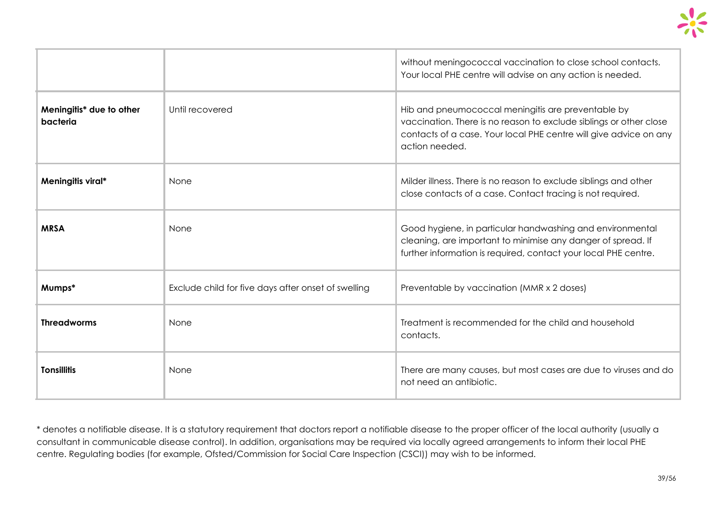|                                      |                                                     | without meningococcal vaccination to close school contacts.<br>Your local PHE centre will advise on any action is needed.                                                                                       |
|--------------------------------------|-----------------------------------------------------|-----------------------------------------------------------------------------------------------------------------------------------------------------------------------------------------------------------------|
| Meningitis* due to other<br>bacteria | Until recovered                                     | Hib and pneumococcal meningitis are preventable by<br>vaccination. There is no reason to exclude siblings or other close<br>contacts of a case. Your local PHE centre will give advice on any<br>action needed. |
| Meningitis viral*                    | None                                                | Milder illness. There is no reason to exclude siblings and other<br>close contacts of a case. Contact tracing is not required.                                                                                  |
| <b>MRSA</b>                          | None                                                | Good hygiene, in particular handwashing and environmental<br>cleaning, are important to minimise any danger of spread. If<br>further information is required, contact your local PHE centre.                    |
| Mumps*                               | Exclude child for five days after onset of swelling | Preventable by vaccination (MMR x 2 doses)                                                                                                                                                                      |
| <b>Threadworms</b>                   | None                                                | Treatment is recommended for the child and household<br>contacts.                                                                                                                                               |
| <b>Tonsillitis</b>                   | None                                                | There are many causes, but most cases are due to viruses and do<br>not need an antibiotic.                                                                                                                      |

\* denotes a notifiable disease. It is a statutory requirement that doctors report a notifiable disease to the proper officer of the local authority (usually a consultant in communicable disease control). In addition, organisations may be required via locally agreed arrangements to inform their local PHE centre. Regulating bodies (for example, Ofsted/Commission for Social Care Inspection (CSCI)) may wish to be informed.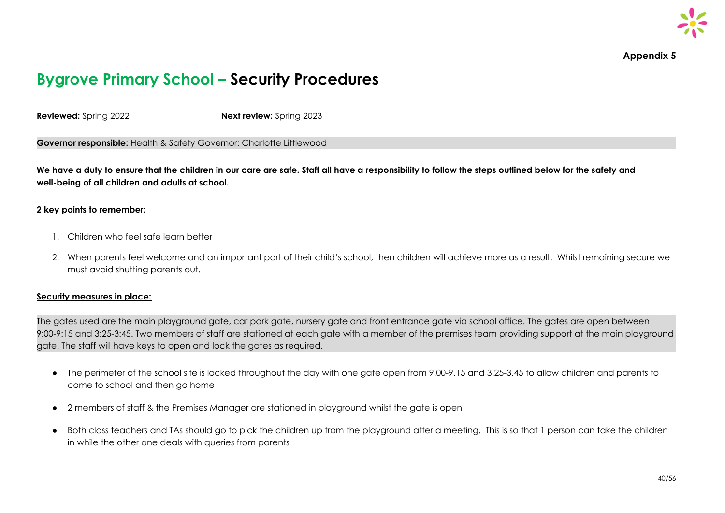

**Appendix 5**

## **Bygrove Primary School – Security Procedures**

**Reviewed:** Spring 2022 **Next review:** Spring 2023

**Governor responsible:** Health & Safety Governor: Charlotte Littlewood

We have a duty to ensure that the children in our care are safe. Staff all have a responsibility to follow the steps outlined below for the safety and **well-being of all children and adults at school.**

#### **2 key points to remember:**

- 1. Children who feel safe learn better
- 2. When parents feel welcome and an important part of their child's school, then children will achieve more as a result. Whilst remaining secure we must avoid shutting parents out.

#### **Security measures in place:**

The gates used are the main playground gate, car park gate, nursery gate and front entrance gate via school office. The gates are open between 9:00-9:15 and 3:25-3:45. Two members of staff are stationed at each gate with a member of the premises team providing support at the main playground gate. The staff will have keys to open and lock the gates as required.

- The perimeter of the school site is locked throughout the day with one gate open from 9.00-9.15 and 3.25-3.45 to allow children and parents to come to school and then go home
- 2 members of staff & the Premises Manager are stationed in playground whilst the gate is open
- Both class teachers and TAs should go to pick the children up from the playground after a meeting. This is so that 1 person can take the children in while the other one deals with queries from parents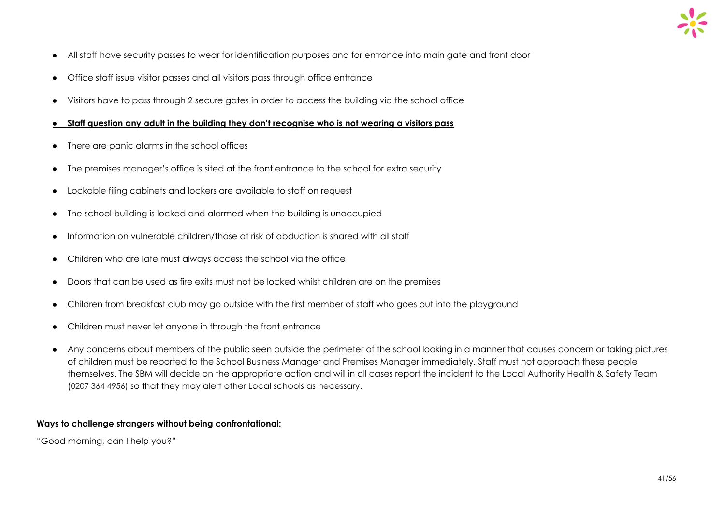

- All staff have security passes to wear for identification purposes and for entrance into main gate and front door
- Office staff issue visitor passes and all visitors pass through office entrance
- Visitors have to pass through 2 secure gates in order to access the building via the school office
- **Staff question any adult in the building they don't recognise who is not wearing a visitors pass**
- There are panic alarms in the school offices
- The premises manager's office is sited at the front entrance to the school for extra security
- Lockable filing cabinets and lockers are available to staff on request
- The school building is locked and alarmed when the building is unoccupied
- Information on vulnerable children/those at risk of abduction is shared with all staff
- Children who are late must always access the school via the office
- Doors that can be used as fire exits must not be locked whilst children are on the premises
- Children from breakfast club may go outside with the first member of staff who goes out into the playground
- Children must never let anyone in through the front entrance
- Any concerns about members of the public seen outside the perimeter of the school looking in a manner that causes concern or taking pictures of children must be reported to the School Business Manager and Premises Manager immediately. Staff must not approach these people themselves. The SBM will decide on the appropriate action and will in all cases report the incident to the Local Authority Health & Safety Team (0207 364 4956) so that they may alert other Local schools as necessary.

#### **Ways to challenge strangers without being confrontational:**

"Good morning, can I help you?"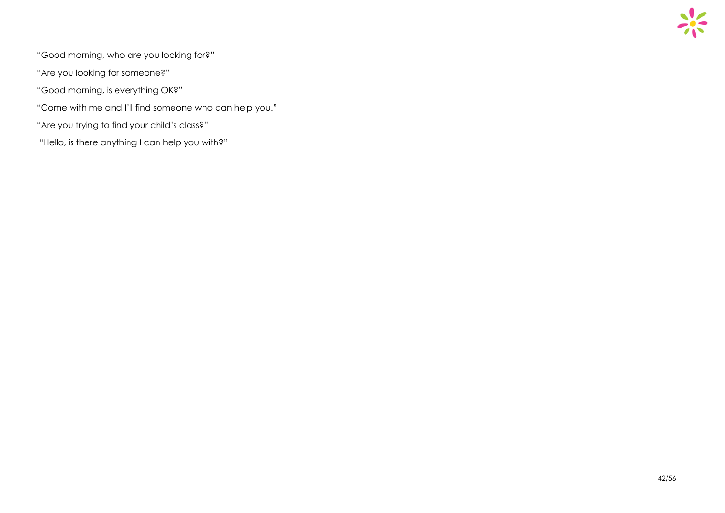

- "Good morning, who are you looking for?"
- "Are you looking for someone?"
- "Good morning, is everything OK?"
- "Come with me and I'll find someone who can help you."
- "Are you trying to find your child's class?"
- "Hello, is there anything I can help you with?"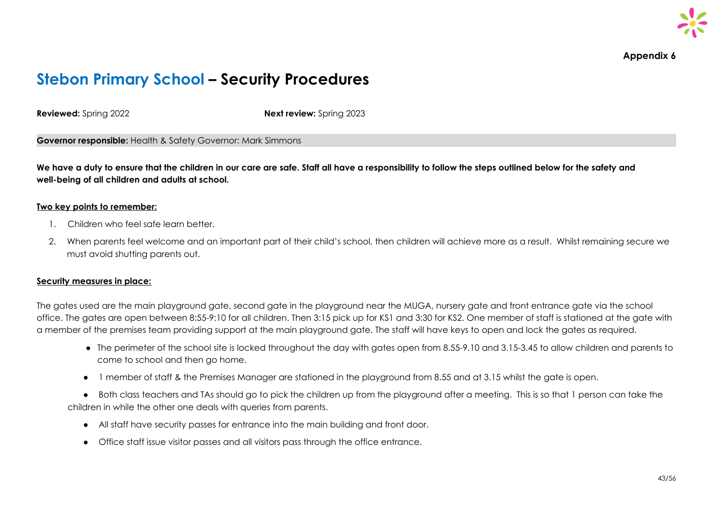

**Appendix 6**

# **Stebon Primary School – Security Procedures**

**Reviewed:** Spring 2022 **Next review:** Spring 2023

**Governor responsible:** Health & Safety Governor: Mark Simmons

We have a duty to ensure that the children in our care are safe. Staff all have a responsibility to follow the steps outlined below for the safety and **well-being of all children and adults at school.**

#### **Two key points to remember:**

- 1. Children who feel safe learn better.
- 2. When parents feel welcome and an important part of their child's school, then children will achieve more as a result. Whilst remaining secure we must avoid shutting parents out.

#### **Security measures in place:**

The gates used are the main playground gate, second gate in the playground near the MUGA, nursery gate and front entrance gate via the school office. The gates are open between 8:55-9:10 for all children. Then 3:15 pick up for KS1 and 3:30 for KS2. One member of staff is stationed at the gate with a member of the premises team providing support at the main playground gate. The staff will have keys to open and lock the gates as required.

- The perimeter of the school site is locked throughout the day with gates open from 8.55-9.10 and 3.15-3.45 to allow children and parents to come to school and then go home.
- 1 member of staff & the Premises Manager are stationed in the playground from 8.55 and at 3.15 whilst the gate is open.

● Both class teachers and TAs should go to pick the children up from the playground after a meeting. This is so that 1 person can take the children in while the other one deals with queries from parents.

- All staff have security passes for entrance into the main building and front door.
- Office staff issue visitor passes and all visitors pass through the office entrance.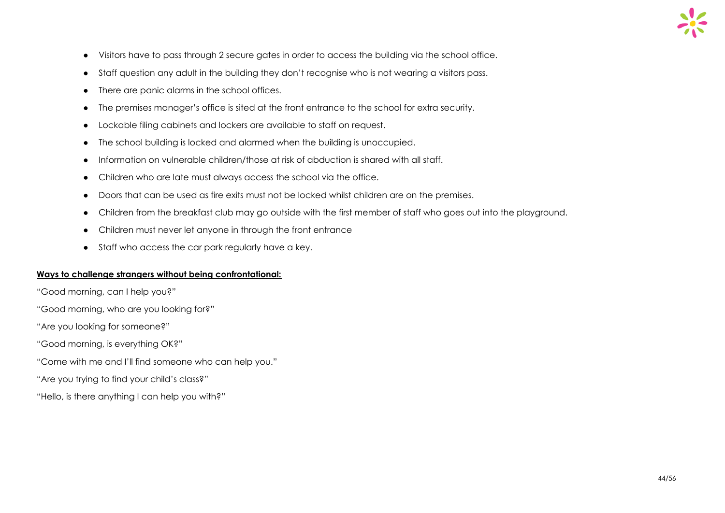- Visitors have to pass through 2 secure gates in order to access the building via the school office.
- Staff question any adult in the building they don't recognise who is not wearing a visitors pass.
- There are panic alarms in the school offices.
- The premises manager's office is sited at the front entrance to the school for extra security.
- Lockable filing cabinets and lockers are available to staff on request.
- The school building is locked and alarmed when the building is unoccupied.
- Information on vulnerable children/those at risk of abduction is shared with all staff.
- Children who are late must always access the school via the office.
- Doors that can be used as fire exits must not be locked whilst children are on the premises.
- Children from the breakfast club may go outside with the first member of staff who goes out into the playground.
- Children must never let anyone in through the front entrance
- Staff who access the car park regularly have a key.

#### **Ways to challenge strangers without being confrontational:**

"Good morning, can I help you?"

"Good morning, who are you looking for?"

"Are you looking for someone?"

"Good morning, is everything OK?"

"Come with me and I'll find someone who can help you."

"Are you trying to find your child's class?"

"Hello, is there anything I can help you with?"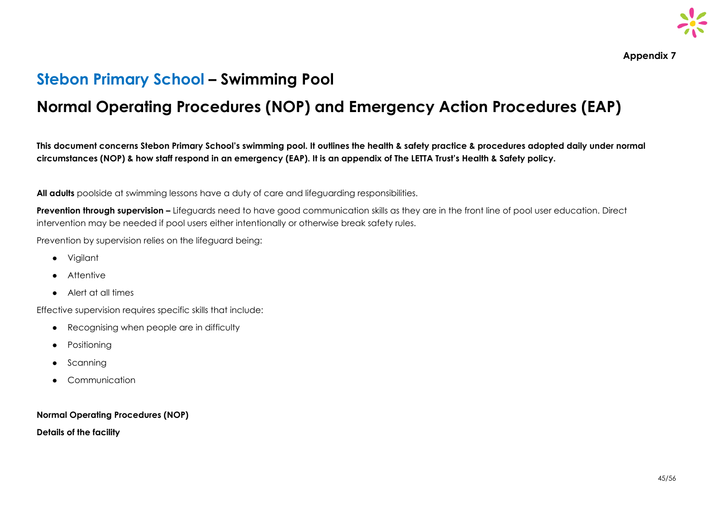

**Appendix 7**

### **Stebon Primary School – Swimming Pool**

# **Normal Operating Procedures (NOP) and Emergency Action Procedures (EAP)**

This document concerns Stebon Primary School's swimming pool. It outlines the health & safety practice & procedures adopted daily under normal circumstances (NOP) & how staff respond in an emergency (EAP). It is an appendix of The LETTA Trust's Health & Safety policy.

**All adults** poolside at swimming lessons have a duty of care and lifeguarding responsibilities.

**Prevention through supervision –** Lifeguards need to have good communication skills as they are in the front line of pool user education. Direct intervention may be needed if pool users either intentionally or otherwise break safety rules.

Prevention by supervision relies on the lifeguard being:

- Vigilant
- Attentive
- Alert at all times

Effective supervision requires specific skills that include:

- Recognising when people are in difficulty
- Positioning
- Scanning
- Communication

**Normal Operating Procedures (NOP)**

**Details of the facility**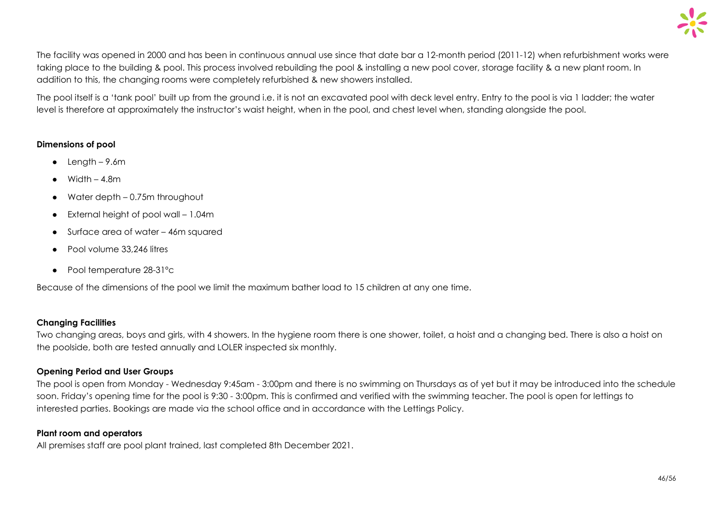

The facility was opened in 2000 and has been in continuous annual use since that date bar a 12-month period (2011-12) when refurbishment works were taking place to the building & pool. This process involved rebuilding the pool & installing a new pool cover, storage facility & a new plant room. In addition to this, the changing rooms were completely refurbished & new showers installed.

The pool itself is a 'tank pool' built up from the ground i.e. it is not an excavated pool with deck level entry. Entry to the pool is via 1 ladder; the water level is therefore at approximately the instructor's waist height, when in the pool, and chest level when, standing alongside the pool.

#### **Dimensions of pool**

- $\bullet$  Length 9.6m
- Width  $4.8m$
- $\bullet$  Water depth  $-0.75$ m throughout
- External height of pool wall 1.04m
- Surface area of water 46m squared
- Pool volume 33,246 litres
- Pool temperature 28-31°c

Because of the dimensions of the pool we limit the maximum bather load to 15 children at any one time.

#### **Changing Facilities**

Two changing areas, boys and girls, with 4 showers. In the hygiene room there is one shower, toilet, a hoist and a changing bed. There is also a hoist on the poolside, both are tested annually and LOLER inspected six monthly.

#### **Opening Period and User Groups**

The pool is open from Monday - Wednesday 9:45am - 3:00pm and there is no swimming on Thursdays as of yet but it may be introduced into the schedule soon. Friday's opening time for the pool is 9:30 - 3:00pm. This is confirmed and verified with the swimming teacher. The pool is open for lettings to interested parties. Bookings are made via the school office and in accordance with the Lettings Policy.

#### **Plant room and operators**

All premises staff are pool plant trained, last completed 8th December 2021.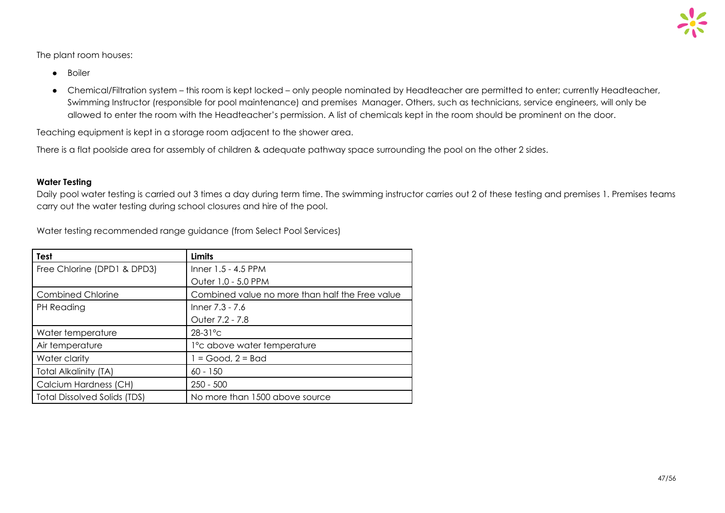The plant room houses:

- Boiler
- Chemical/Filtration system this room is kept locked only people nominated by Headteacher are permitted to enter; currently Headteacher, Swimming Instructor (responsible for pool maintenance) and premises Manager. Others, such as technicians, service engineers, will only be allowed to enter the room with the Headteacher's permission. A list of chemicals kept in the room should be prominent on the door.

Teaching equipment is kept in a storage room adjacent to the shower area.

There is a flat poolside area for assembly of children & adequate pathway space surrounding the pool on the other 2 sides.

#### **Water Testing**

Daily pool water testing is carried out 3 times a day during term time. The swimming instructor carries out 2 of these testing and premises 1. Premises teams carry out the water testing during school closures and hire of the pool.

| <b>Test</b>                         | <b>Limits</b>                                   |
|-------------------------------------|-------------------------------------------------|
| Free Chlorine (DPD1 & DPD3)         | Inner $1.5 - 4.5$ PPM                           |
|                                     | Outer 1.0 - 5.0 PPM                             |
| <b>Combined Chlorine</b>            | Combined value no more than half the Free value |
| PH Reading                          | Inner 7.3 - 7.6                                 |
|                                     | Outer 7.2 - 7.8                                 |
| Water temperature                   | $28-31$ °C                                      |
| Air temperature                     | 1° c above water temperature                    |
| Water clarity                       | $1 = Good$ , $2 = Bad$                          |
| <b>Total Alkalinity (TA)</b>        | $60 - 150$                                      |
| Calcium Hardness (CH)               | $250 - 500$                                     |
| <b>Total Dissolved Solids (TDS)</b> | No more than 1500 above source                  |

Water testing recommended range guidance (from Select Pool Services)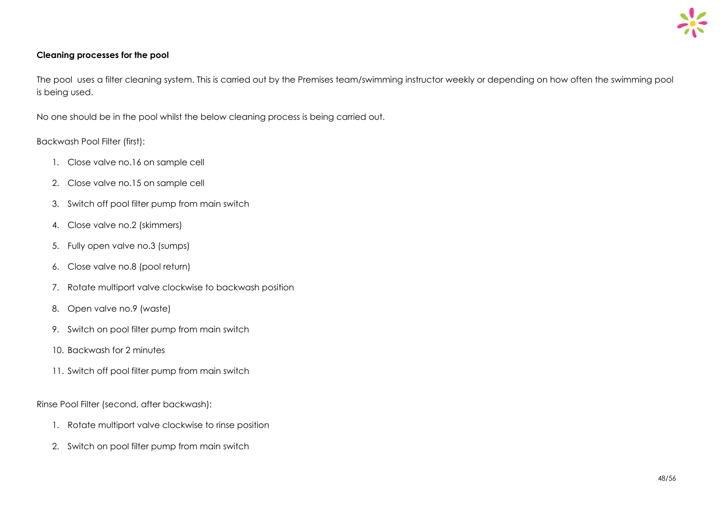#### **Cleaning processes for the pool**

The pool uses a filter cleaning system. This is carried out by the Premises team/swimming instructor weekly or depending on how often the swimming pool is being used.

No one should be in the pool whilst the below cleaning process is being carried out.

#### Backwash Pool Filter (first):

- 1. Close valve no.16 on sample cell
- 2. Close valve no.15 on sample cell
- 3. Switch off pool filter pump from main switch
- 4. Close valve no.2 (skimmers)
- 5. Fully open valve no.3 (sumps)
- 6. Close valve no.8 (pool return)
- 7. Rotate multiport valve clockwise to backwash position
- 8. Open valve no.9 (waste)
- 9. Switch on pool filter pump from main switch
- 10. Backwash for 2 minutes
- 11. Switch off pool filter pump from main switch

Rinse Pool Filter (second, after backwash):

- 1. Rotate multiport valve clockwise to rinse position
- 2. Switch on pool filter pump from main switch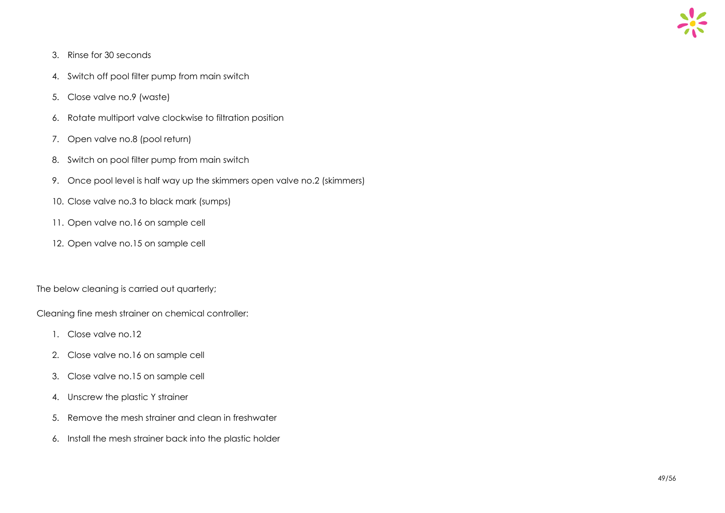

- 3. Rinse for 30 seconds
- 4. Switch off pool filter pump from main switch
- 5. Close valve no.9 (waste)
- 6. Rotate multiport valve clockwise to filtration position
- 7. Open valve no.8 (pool return)
- 8. Switch on pool filter pump from main switch
- 9. Once pool level is half way up the skimmers open valve no.2 (skimmers)
- 10. Close valve no.3 to black mark (sumps)
- 11. Open valve no.16 on sample cell
- 12. Open valve no.15 on sample cell

The below cleaning is carried out quarterly;

Cleaning fine mesh strainer on chemical controller:

- 1. Close valve no.12
- 2. Close valve no.16 on sample cell
- 3. Close valve no.15 on sample cell
- 4. Unscrew the plastic Y strainer
- 5. Remove the mesh strainer and clean in freshwater
- 6. Install the mesh strainer back into the plastic holder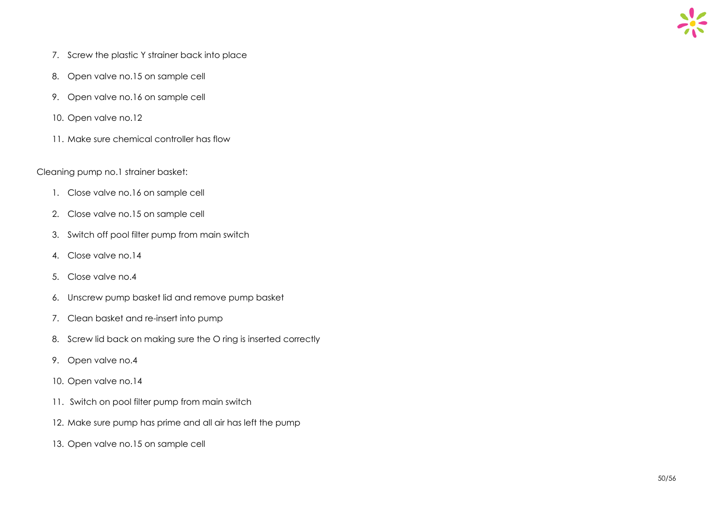

- 7. Screw the plastic Y strainer back into place
- 8. Open valve no.15 on sample cell
- 9. Open valve no.16 on sample cell
- 10. Open valve no.12
- 11. Make sure chemical controller has flow

#### Cleaning pump no.1 strainer basket:

- 1. Close valve no.16 on sample cell
- 2. Close valve no.15 on sample cell
- 3. Switch off pool filter pump from main switch
- 4. Close valve no.14
- 5. Close valve no.4
- 6. Unscrew pump basket lid and remove pump basket
- 7. Clean basket and re-insert into pump
- 8. Screw lid back on making sure the O ring is inserted correctly
- 9. Open valve no.4
- 10. Open valve no.14
- 11. Switch on pool filter pump from main switch
- 12. Make sure pump has prime and all air has left the pump
- 13. Open valve no.15 on sample cell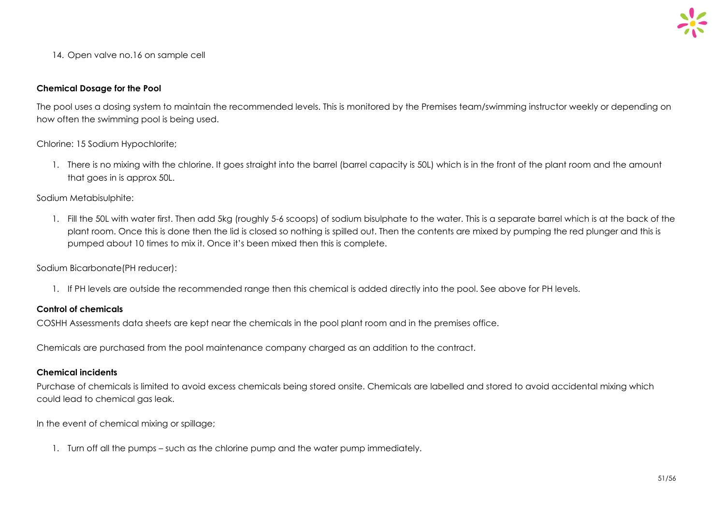14. Open valve no.16 on sample cell

#### **Chemical Dosage for the Pool**

The pool uses a dosing system to maintain the recommended levels. This is monitored by the Premises team/swimming instructor weekly or depending on how often the swimming pool is being used.

Chlorine: 15 Sodium Hypochlorite;

1. There is no mixing with the chlorine. It goes straight into the barrel (barrel capacity is 50L) which is in the front of the plant room and the amount that goes in is approx 50L.

Sodium Metabisulphite:

1. Fill the 50L with water first. Then add 5kg (roughly 5-6 scoops) of sodium bisulphate to the water. This is a separate barrel which is at the back of the plant room. Once this is done then the lid is closed so nothing is spilled out. Then the contents are mixed by pumping the red plunger and this is pumped about 10 times to mix it. Once it's been mixed then this is complete.

Sodium Bicarbonate(PH reducer):

1. If PH levels are outside the recommended range then this chemical is added directly into the pool. See above for PH levels.

#### **Control of chemicals**

COSHH Assessments data sheets are kept near the chemicals in the pool plant room and in the premises office.

Chemicals are purchased from the pool maintenance company charged as an addition to the contract.

#### **Chemical incidents**

Purchase of chemicals is limited to avoid excess chemicals being stored onsite. Chemicals are labelled and stored to avoid accidental mixing which could lead to chemical gas leak.

In the event of chemical mixing or spillage;

1. Turn off all the pumps – such as the chlorine pump and the water pump immediately.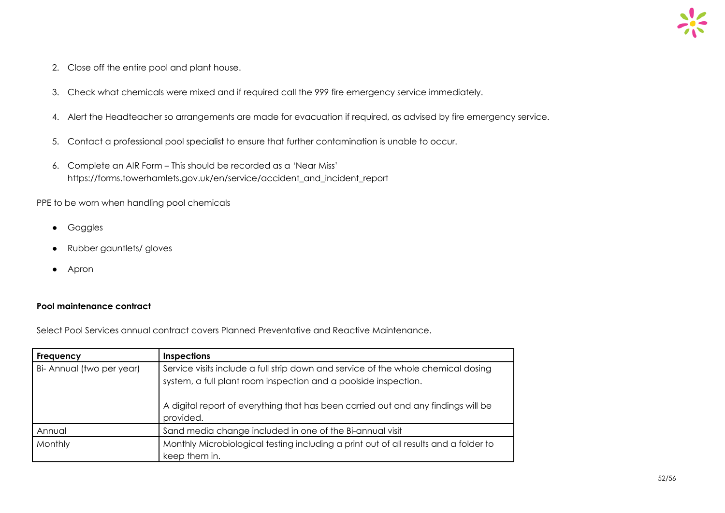- 2. Close off the entire pool and plant house.
- 3. Check what chemicals were mixed and if required call the 999 fire emergency service immediately.
- 4. Alert the Headteacher so arrangements are made for evacuation if required, as advised by fire emergency service.
- 5. Contact a professional pool specialist to ensure that further contamination is unable to occur.
- 6. Complete an AIR Form This should be recorded as a 'Near Miss' https://forms.towerhamlets.gov.uk/en/service/accident\_and\_incident\_report

#### PPE to be worn when handling pool chemicals

- Goggles
- Rubber gauntlets/ gloves
- Apron

#### **Pool maintenance contract**

Select Pool Services annual contract covers Planned Preventative and Reactive Maintenance.

| Frequency                 | <b>Inspections</b>                                                                                                                                   |  |
|---------------------------|------------------------------------------------------------------------------------------------------------------------------------------------------|--|
| Bi- Annual (two per year) | Service visits include a full strip down and service of the whole chemical dosing<br>system, a full plant room inspection and a poolside inspection. |  |
|                           | A digital report of everything that has been carried out and any findings will be<br>provided.                                                       |  |
| Annual                    | Sand media change included in one of the Bi-annual visit                                                                                             |  |
| Monthly                   | Monthly Microbiological testing including a print out of all results and a folder to<br>keep them in.                                                |  |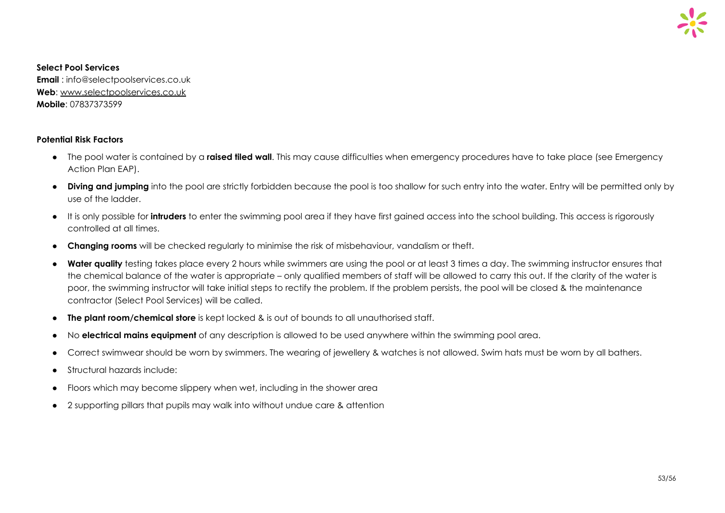

#### **Select Pool Services**

**Email** : info@selectpoolservices.co.uk **Web**: [www.selectpoolservices.co.uk](http://www.selectpoolservices.co.uk/) **Mobile**: 07837373599

#### **Potential Risk Factors**

- The pool water is contained by a **raised tiled wall**. This may cause difficulties when emergency procedures have to take place (see Emergency Action Plan EAP).
- **Diving and jumping** into the pool are strictly forbidden because the pool is too shallow for such entry into the water. Entry will be permitted only by use of the ladder.
- It is only possible for **intruders** to enter the swimming pool area if they have first gained access into the school building. This access is rigorously controlled at all times.
- **Changing rooms** will be checked regularly to minimise the risk of misbehaviour, vandalism or theft.
- **Water quality** testing takes place every 2 hours while swimmers are using the pool or at least 3 times a day. The swimming instructor ensures that the chemical balance of the water is appropriate – only qualified members of staff will be allowed to carry this out. If the clarity of the water is poor, the swimming instructor will take initial steps to rectify the problem. If the problem persists, the pool will be closed & the maintenance contractor (Select Pool Services) will be called.
- **The plant room/chemical store** is kept locked & is out of bounds to all unauthorised staff.
- No **electrical mains equipment** of any description is allowed to be used anywhere within the swimming pool area.
- Correct swimwear should be worn by swimmers. The wearing of jewellery & watches is not allowed. Swim hats must be worn by all bathers.
- Structural hazards include:
- Floors which may become slippery when wet, including in the shower area
- 2 supporting pillars that pupils may walk into without undue care & attention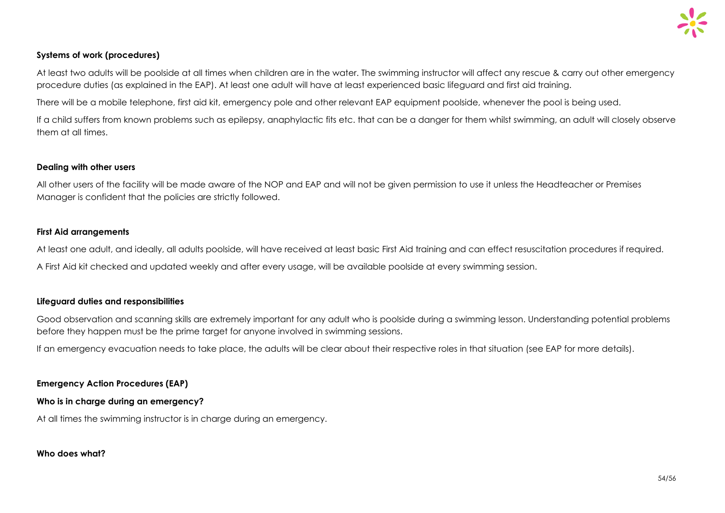#### **Systems of work (procedures)**

At least two adults will be poolside at all times when children are in the water. The swimming instructor will affect any rescue & carry out other emergency procedure duties (as explained in the EAP). At least one adult will have at least experienced basic lifeguard and first aid training.

There will be a mobile telephone, first aid kit, emergency pole and other relevant EAP equipment poolside, whenever the pool is being used.

If a child suffers from known problems such as epilepsy, anaphylactic fits etc. that can be a danger for them whilst swimming, an adult will closely observe them at all times.

#### **Dealing with other users**

All other users of the facility will be made aware of the NOP and EAP and will not be given permission to use it unless the Headteacher or Premises Manager is confident that the policies are strictly followed.

#### **First Aid arrangements**

At least one adult, and ideally, all adults poolside, will have received at least basic First Aid training and can effect resuscitation procedures if required. A First Aid kit checked and updated weekly and after every usage, will be available poolside at every swimming session.

#### **Lifeguard duties and responsibilities**

Good observation and scanning skills are extremely important for any adult who is poolside during a swimming lesson. Understanding potential problems before they happen must be the prime target for anyone involved in swimming sessions.

If an emergency evacuation needs to take place, the adults will be clear about their respective roles in that situation (see EAP for more details).

**Emergency Action Procedures (EAP)**

#### **Who is in charge during an emergency?**

At all times the swimming instructor is in charge during an emergency.

#### **Who does what?**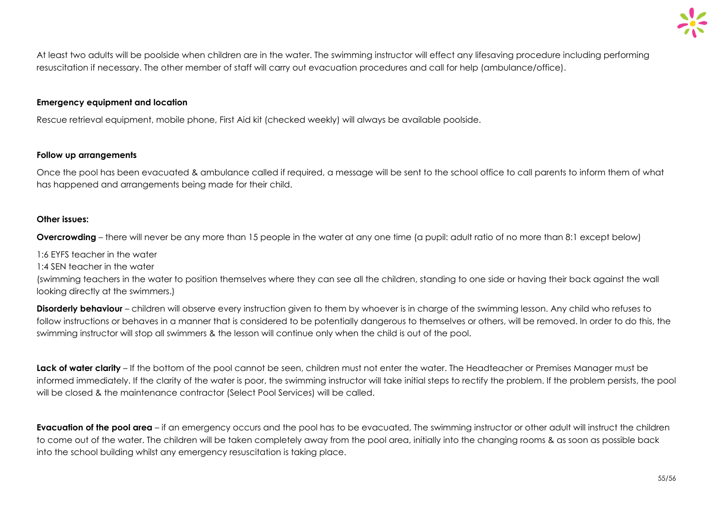

At least two adults will be poolside when children are in the water. The swimming instructor will effect any lifesaving procedure including performing resuscitation if necessary. The other member of staff will carry out evacuation procedures and call for help (ambulance/office).

#### **Emergency equipment and location**

Rescue retrieval equipment, mobile phone, First Aid kit (checked weekly) will always be available poolside.

#### **Follow up arrangements**

Once the pool has been evacuated & ambulance called if required, a message will be sent to the school office to call parents to inform them of what has happened and arrangements being made for their child.

#### **Other issues:**

**Overcrowding** – there will never be any more than 15 people in the water at any one time (a pupil: adult ratio of no more than 8:1 except below)

1:6 EYFS teacher in the water

1:4 SEN teacher in the water

(swimming teachers in the water to position themselves where they can see all the children, standing to one side or having their back against the wall looking directly at the swimmers.)

**Disorderly behaviour** – children will observe every instruction given to them by whoever is in charge of the swimming lesson. Any child who refuses to follow instructions or behaves in a manner that is considered to be potentially dangerous to themselves or others, will be removed. In order to do this, the swimming instructor will stop all swimmers & the lesson will continue only when the child is out of the pool.

**Lack of water clarity** – If the bottom of the pool cannot be seen, children must not enter the water. The Headteacher or Premises Manager must be informed immediately. If the clarity of the water is poor, the swimming instructor will take initial steps to rectify the problem. If the problem persists, the pool will be closed & the maintenance contractor (Select Pool Services) will be called.

**Evacuation of the pool area** – if an emergency occurs and the pool has to be evacuated, The swimming instructor or other adult will instruct the children to come out of the water. The children will be taken completely away from the pool area, initially into the changing rooms & as soon as possible back into the school building whilst any emergency resuscitation is taking place.